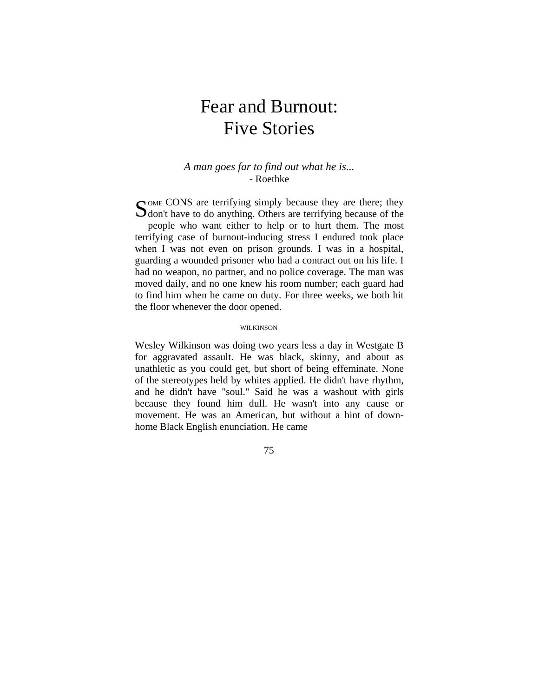# Fear and Burnout: Five Stories

### *A man goes far to find out what he is...*  - Roethke

OME CONS are terrifying simply because they are there; they SOME CONS are terrifying simply because they are there; they don't have to do anything. Others are terrifying because of the people who want either to help or to hurt them. The most terrifying case of burnout-inducing stress I endured took place when I was not even on prison grounds. I was in a hospital, guarding a wounded prisoner who had a contract out on his life. I had no weapon, no partner, and no police coverage. The man was moved daily, and no one knew his room number; each guard had to find him when he came on duty. For three weeks, we both hit the floor whenever the door opened.

#### WILKINSON

Wesley Wilkinson was doing two years less a day in Westgate B for aggravated assault. He was black, skinny, and about as unathletic as you could get, but short of being effeminate. None of the stereotypes held by whites applied. He didn't have rhythm, and he didn't have "soul." Said he was a washout with girls because they found him dull. He wasn't into any cause or movement. He was an American, but without a hint of downhome Black English enunciation. He came

75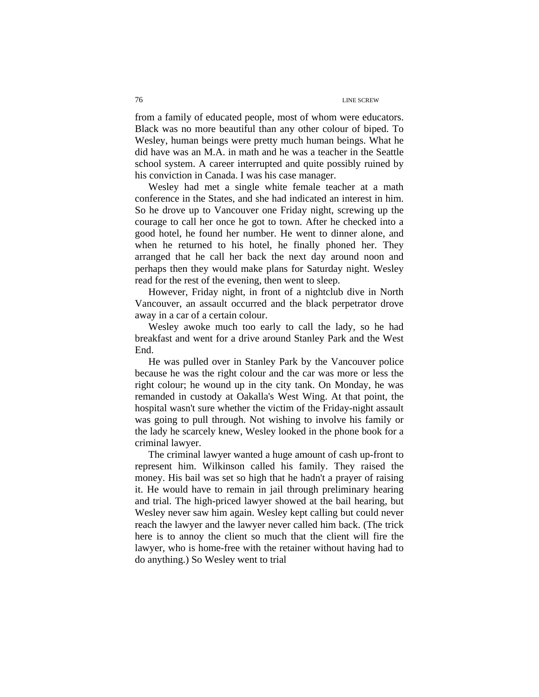from a family of educated people, most of whom were educators. Black was no more beautiful than any other colour of biped. To Wesley, human beings were pretty much human beings. What he did have was an M.A. in math and he was a teacher in the Seattle school system. A career interrupted and quite possibly ruined by his conviction in Canada. I was his case manager.

Wesley had met a single white female teacher at a math conference in the States, and she had indicated an interest in him. So he drove up to Vancouver one Friday night, screwing up the courage to call her once he got to town. After he checked into a good hotel, he found her number. He went to dinner alone, and when he returned to his hotel, he finally phoned her. They arranged that he call her back the next day around noon and perhaps then they would make plans for Saturday night. Wesley read for the rest of the evening, then went to sleep.

However, Friday night, in front of a nightclub dive in North Vancouver, an assault occurred and the black perpetrator drove away in a car of a certain colour.

Wesley awoke much too early to call the lady, so he had breakfast and went for a drive around Stanley Park and the West End.

He was pulled over in Stanley Park by the Vancouver police because he was the right colour and the car was more or less the right colour; he wound up in the city tank. On Monday, he was remanded in custody at Oakalla's West Wing. At that point, the hospital wasn't sure whether the victim of the Friday-night assault was going to pull through. Not wishing to involve his family or the lady he scarcely knew, Wesley looked in the phone book for a criminal lawyer.

The criminal lawyer wanted a huge amount of cash up-front to represent him. Wilkinson called his family. They raised the money. His bail was set so high that he hadn't a prayer of raising it. He would have to remain in jail through preliminary hearing and trial. The high-priced lawyer showed at the bail hearing, but Wesley never saw him again. Wesley kept calling but could never reach the lawyer and the lawyer never called him back. (The trick here is to annoy the client so much that the client will fire the lawyer, who is home-free with the retainer without having had to do anything.) So Wesley went to trial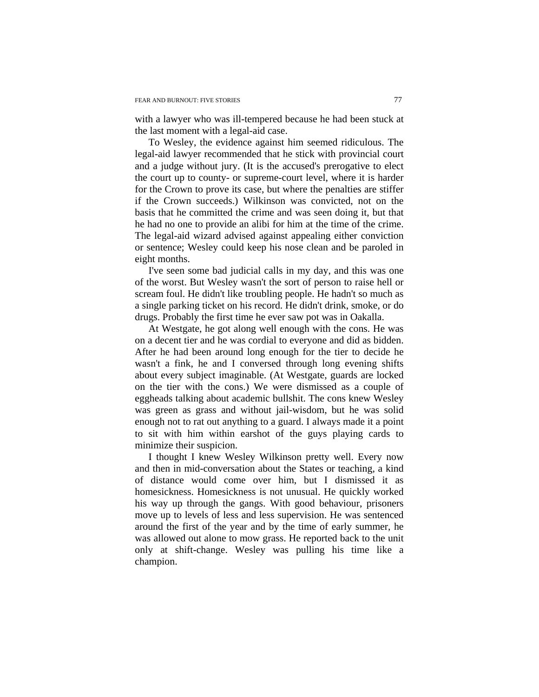with a lawyer who was ill-tempered because he had been stuck at the last moment with a legal-aid case.

To Wesley, the evidence against him seemed ridiculous. The legal-aid lawyer recommended that he stick with provincial court and a judge without jury. (It is the accused's prerogative to elect the court up to county- or supreme-court level, where it is harder for the Crown to prove its case, but where the penalties are stiffer if the Crown succeeds.) Wilkinson was convicted, not on the basis that he committed the crime and was seen doing it, but that he had no one to provide an alibi for him at the time of the crime. The legal-aid wizard advised against appealing either conviction or sentence; Wesley could keep his nose clean and be paroled in eight months.

I've seen some bad judicial calls in my day, and this was one of the worst. But Wesley wasn't the sort of person to raise hell or scream foul. He didn't like troubling people. He hadn't so much as a single parking ticket on his record. He didn't drink, smoke, or do drugs. Probably the first time he ever saw pot was in Oakalla.

At Westgate, he got along well enough with the cons. He was on a decent tier and he was cordial to everyone and did as bidden. After he had been around long enough for the tier to decide he wasn't a fink, he and I conversed through long evening shifts about every subject imaginable. (At Westgate, guards are locked on the tier with the cons.) We were dismissed as a couple of eggheads talking about academic bullshit. The cons knew Wesley was green as grass and without jail-wisdom, but he was solid enough not to rat out anything to a guard. I always made it a point to sit with him within earshot of the guys playing cards to minimize their suspicion.

I thought I knew Wesley Wilkinson pretty well. Every now and then in mid-conversation about the States or teaching, a kind of distance would come over him, but I dismissed it as homesickness. Homesickness is not unusual. He quickly worked his way up through the gangs. With good behaviour, prisoners move up to levels of less and less supervision. He was sentenced around the first of the year and by the time of early summer, he was allowed out alone to mow grass. He reported back to the unit only at shift-change. Wesley was pulling his time like a champion.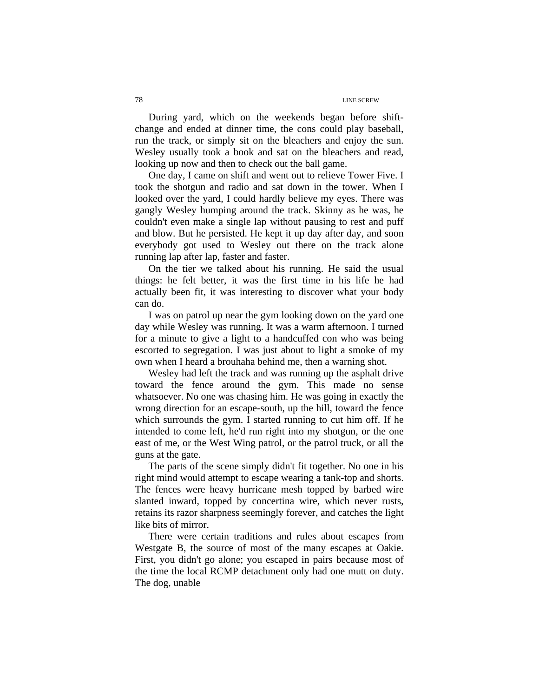During yard, which on the weekends began before shiftchange and ended at dinner time, the cons could play baseball, run the track, or simply sit on the bleachers and enjoy the sun. Wesley usually took a book and sat on the bleachers and read, looking up now and then to check out the ball game.

One day, I came on shift and went out to relieve Tower Five. I took the shotgun and radio and sat down in the tower. When I looked over the yard, I could hardly believe my eyes. There was gangly Wesley humping around the track. Skinny as he was, he couldn't even make a single lap without pausing to rest and puff and blow. But he persisted. He kept it up day after day, and soon everybody got used to Wesley out there on the track alone running lap after lap, faster and faster.

On the tier we talked about his running. He said the usual things: he felt better, it was the first time in his life he had actually been fit, it was interesting to discover what your body can do.

I was on patrol up near the gym looking down on the yard one day while Wesley was running. It was a warm afternoon. I turned for a minute to give a light to a handcuffed con who was being escorted to segregation. I was just about to light a smoke of my own when I heard a brouhaha behind me, then a warning shot.

Wesley had left the track and was running up the asphalt drive toward the fence around the gym. This made no sense whatsoever. No one was chasing him. He was going in exactly the wrong direction for an escape-south, up the hill, toward the fence which surrounds the gym. I started running to cut him off. If he intended to come left, he'd run right into my shotgun, or the one east of me, or the West Wing patrol, or the patrol truck, or all the guns at the gate.

The parts of the scene simply didn't fit together. No one in his right mind would attempt to escape wearing a tank-top and shorts. The fences were heavy hurricane mesh topped by barbed wire slanted inward, topped by concertina wire, which never rusts, retains its razor sharpness seemingly forever, and catches the light like bits of mirror.

There were certain traditions and rules about escapes from Westgate B, the source of most of the many escapes at Oakie. First, you didn't go alone; you escaped in pairs because most of the time the local RCMP detachment only had one mutt on duty. The dog, unable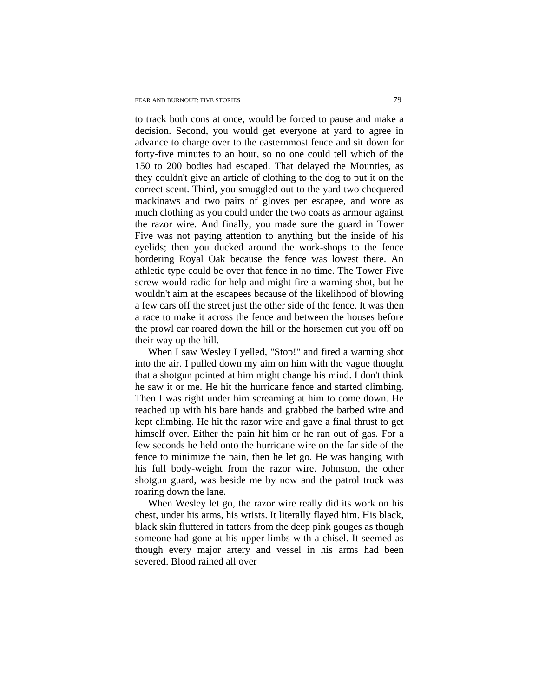to track both cons at once, would be forced to pause and make a decision. Second, you would get everyone at yard to agree in advance to charge over to the easternmost fence and sit down for forty-five minutes to an hour, so no one could tell which of the 150 to 200 bodies had escaped. That delayed the Mounties, as they couldn't give an article of clothing to the dog to put it on the correct scent. Third, you smuggled out to the yard two chequered mackinaws and two pairs of gloves per escapee, and wore as much clothing as you could under the two coats as armour against the razor wire. And finally, you made sure the guard in Tower Five was not paying attention to anything but the inside of his eyelids; then you ducked around the work-shops to the fence bordering Royal Oak because the fence was lowest there. An athletic type could be over that fence in no time. The Tower Five screw would radio for help and might fire a warning shot, but he wouldn't aim at the escapees because of the likelihood of blowing a few cars off the street just the other side of the fence. It was then a race to make it across the fence and between the houses before the prowl car roared down the hill or the horsemen cut you off on their way up the hill.

When I saw Wesley I yelled, "Stop!" and fired a warning shot into the air. I pulled down my aim on him with the vague thought that a shotgun pointed at him might change his mind. I don't think he saw it or me. He hit the hurricane fence and started climbing. Then I was right under him screaming at him to come down. He reached up with his bare hands and grabbed the barbed wire and kept climbing. He hit the razor wire and gave a final thrust to get himself over. Either the pain hit him or he ran out of gas. For a few seconds he held onto the hurricane wire on the far side of the fence to minimize the pain, then he let go. He was hanging with his full body-weight from the razor wire. Johnston, the other shotgun guard, was beside me by now and the patrol truck was roaring down the lane.

When Wesley let go, the razor wire really did its work on his chest, under his arms, his wrists. It literally flayed him. His black, black skin fluttered in tatters from the deep pink gouges as though someone had gone at his upper limbs with a chisel. It seemed as though every major artery and vessel in his arms had been severed. Blood rained all over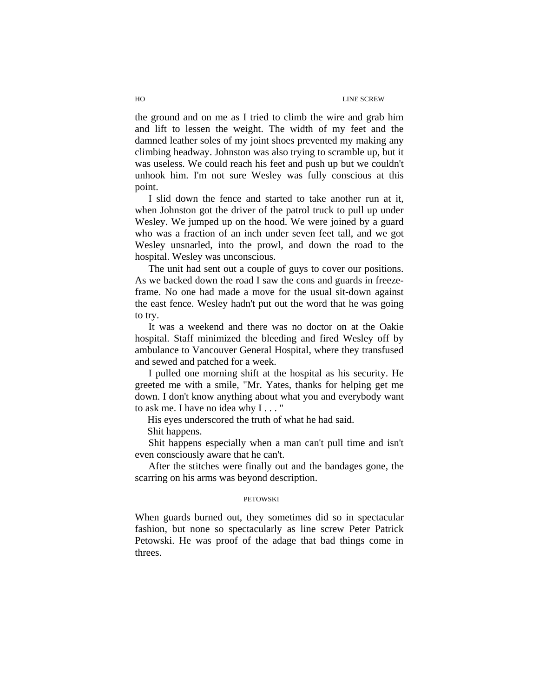#### HO LINE SCREW

the ground and on me as I tried to climb the wire and grab him and lift to lessen the weight. The width of my feet and the damned leather soles of my joint shoes prevented my making any climbing headway. Johnston was also trying to scramble up, but it was useless. We could reach his feet and push up but we couldn't unhook him. I'm not sure Wesley was fully conscious at this point.

I slid down the fence and started to take another run at it, when Johnston got the driver of the patrol truck to pull up under Wesley. We jumped up on the hood. We were joined by a guard who was a fraction of an inch under seven feet tall, and we got Wesley unsnarled, into the prowl, and down the road to the hospital. Wesley was unconscious.

The unit had sent out a couple of guys to cover our positions. As we backed down the road I saw the cons and guards in freezeframe. No one had made a move for the usual sit-down against the east fence. Wesley hadn't put out the word that he was going to try.

It was a weekend and there was no doctor on at the Oakie hospital. Staff minimized the bleeding and fired Wesley off by ambulance to Vancouver General Hospital, where they transfused and sewed and patched for a week.

I pulled one morning shift at the hospital as his security. He greeted me with a smile, "Mr. Yates, thanks for helping get me down. I don't know anything about what you and everybody want to ask me. I have no idea why I . . . "

His eyes underscored the truth of what he had said.

Shit happens.

Shit happens especially when a man can't pull time and isn't even consciously aware that he can't.

After the stitches were finally out and the bandages gone, the scarring on his arms was beyond description.

#### PETOWSKI

When guards burned out, they sometimes did so in spectacular fashion, but none so spectacularly as line screw Peter Patrick Petowski. He was proof of the adage that bad things come in threes.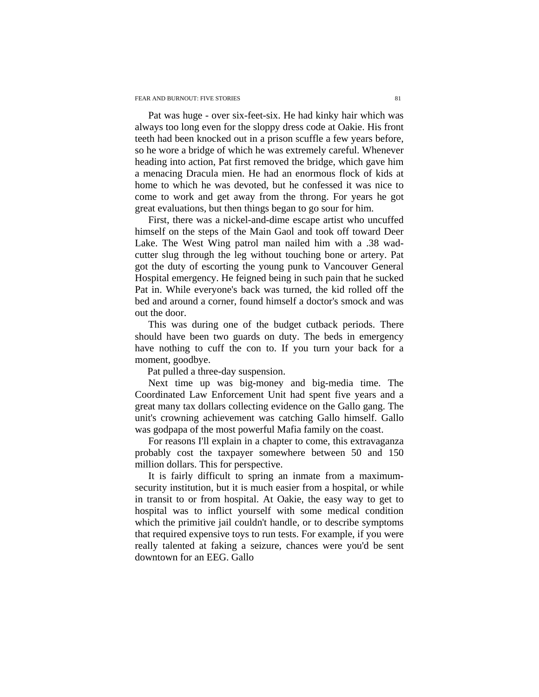Pat was huge - over six-feet-six. He had kinky hair which was always too long even for the sloppy dress code at Oakie. His front teeth had been knocked out in a prison scuffle a few years before, so he wore a bridge of which he was extremely careful. Whenever heading into action, Pat first removed the bridge, which gave him a menacing Dracula mien. He had an enormous flock of kids at home to which he was devoted, but he confessed it was nice to come to work and get away from the throng. For years he got great evaluations, but then things began to go sour for him.

First, there was a nickel-and-dime escape artist who uncuffed himself on the steps of the Main Gaol and took off toward Deer Lake. The West Wing patrol man nailed him with a .38 wadcutter slug through the leg without touching bone or artery. Pat got the duty of escorting the young punk to Vancouver General Hospital emergency. He feigned being in such pain that he sucked Pat in. While everyone's back was turned, the kid rolled off the bed and around a corner, found himself a doctor's smock and was out the door.

This was during one of the budget cutback periods. There should have been two guards on duty. The beds in emergency have nothing to cuff the con to. If you turn your back for a moment, goodbye.

Pat pulled a three-day suspension.

Next time up was big-money and big-media time. The Coordinated Law Enforcement Unit had spent five years and a great many tax dollars collecting evidence on the Gallo gang. The unit's crowning achievement was catching Gallo himself. Gallo was godpapa of the most powerful Mafia family on the coast.

For reasons I'll explain in a chapter to come, this extravaganza probably cost the taxpayer somewhere between 50 and 150 million dollars. This for perspective.

It is fairly difficult to spring an inmate from a maximumsecurity institution, but it is much easier from a hospital, or while in transit to or from hospital. At Oakie, the easy way to get to hospital was to inflict yourself with some medical condition which the primitive jail couldn't handle, or to describe symptoms that required expensive toys to run tests. For example, if you were really talented at faking a seizure, chances were you'd be sent downtown for an EEG. Gallo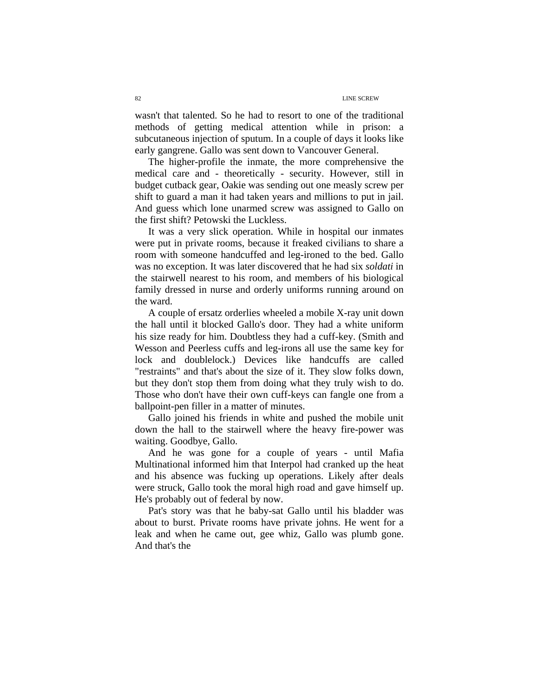wasn't that talented. So he had to resort to one of the traditional methods of getting medical attention while in prison: a subcutaneous injection of sputum. In a couple of days it looks like early gangrene. Gallo was sent down to Vancouver General.

The higher-profile the inmate, the more comprehensive the medical care and - theoretically - security. However, still in budget cutback gear, Oakie was sending out one measly screw per shift to guard a man it had taken years and millions to put in jail. And guess which lone unarmed screw was assigned to Gallo on the first shift? Petowski the Luckless.

It was a very slick operation. While in hospital our inmates were put in private rooms, because it freaked civilians to share a room with someone handcuffed and leg-ironed to the bed. Gallo was no exception. It was later discovered that he had six *soldati* in the stairwell nearest to his room, and members of his biological family dressed in nurse and orderly uniforms running around on the ward.

A couple of ersatz orderlies wheeled a mobile X-ray unit down the hall until it blocked Gallo's door. They had a white uniform his size ready for him. Doubtless they had a cuff-key. (Smith and Wesson and Peerless cuffs and leg-irons all use the same key for lock and doublelock.) Devices like handcuffs are called "restraints" and that's about the size of it. They slow folks down, but they don't stop them from doing what they truly wish to do. Those who don't have their own cuff-keys can fangle one from a ballpoint-pen filler in a matter of minutes.

Gallo joined his friends in white and pushed the mobile unit down the hall to the stairwell where the heavy fire-power was waiting. Goodbye, Gallo.

And he was gone for a couple of years - until Mafia Multinational informed him that Interpol had cranked up the heat and his absence was fucking up operations. Likely after deals were struck, Gallo took the moral high road and gave himself up. He's probably out of federal by now.

Pat's story was that he baby-sat Gallo until his bladder was about to burst. Private rooms have private johns. He went for a leak and when he came out, gee whiz, Gallo was plumb gone. And that's the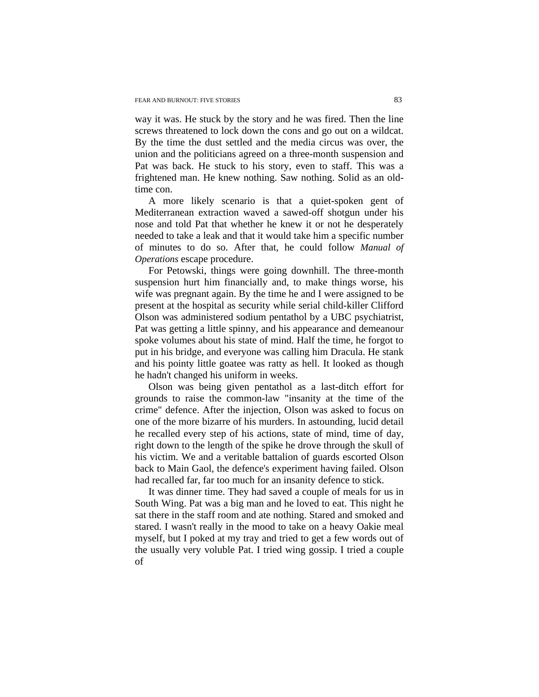way it was. He stuck by the story and he was fired. Then the line screws threatened to lock down the cons and go out on a wildcat. By the time the dust settled and the media circus was over, the union and the politicians agreed on a three-month suspension and Pat was back. He stuck to his story, even to staff. This was a frightened man. He knew nothing. Saw nothing. Solid as an oldtime con.

A more likely scenario is that a quiet-spoken gent of Mediterranean extraction waved a sawed-off shotgun under his nose and told Pat that whether he knew it or not he desperately needed to take a leak and that it would take him a specific number of minutes to do so. After that, he could follow *Manual of Operations* escape procedure.

For Petowski, things were going downhill. The three-month suspension hurt him financially and, to make things worse, his wife was pregnant again. By the time he and I were assigned to be present at the hospital as security while serial child-killer Clifford Olson was administered sodium pentathol by a UBC psychiatrist, Pat was getting a little spinny, and his appearance and demeanour spoke volumes about his state of mind. Half the time, he forgot to put in his bridge, and everyone was calling him Dracula. He stank and his pointy little goatee was ratty as hell. It looked as though he hadn't changed his uniform in weeks.

Olson was being given pentathol as a last-ditch effort for grounds to raise the common-law "insanity at the time of the crime" defence. After the injection, Olson was asked to focus on one of the more bizarre of his murders. In astounding, lucid detail he recalled every step of his actions, state of mind, time of day, right down to the length of the spike he drove through the skull of his victim. We and a veritable battalion of guards escorted Olson back to Main Gaol, the defence's experiment having failed. Olson had recalled far, far too much for an insanity defence to stick.

It was dinner time. They had saved a couple of meals for us in South Wing. Pat was a big man and he loved to eat. This night he sat there in the staff room and ate nothing. Stared and smoked and stared. I wasn't really in the mood to take on a heavy Oakie meal myself, but I poked at my tray and tried to get a few words out of the usually very voluble Pat. I tried wing gossip. I tried a couple of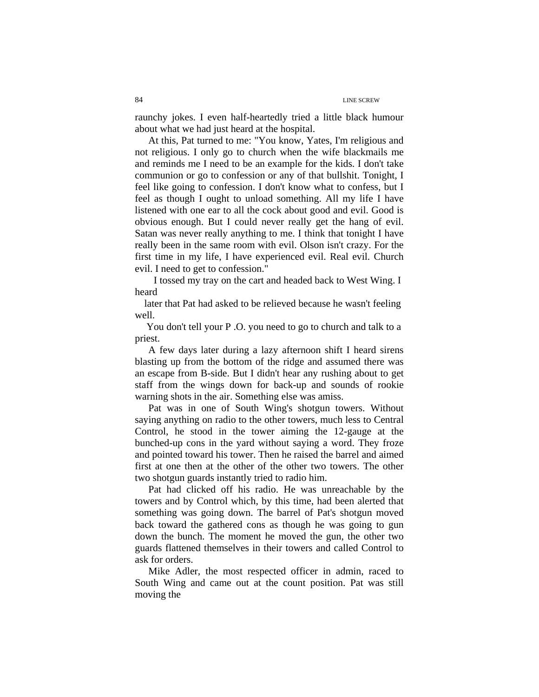raunchy jokes. I even half-heartedly tried a little black humour about what we had just heard at the hospital.

At this, Pat turned to me: "You know, Yates, I'm religious and not religious. I only go to church when the wife blackmails me and reminds me I need to be an example for the kids. I don't take communion or go to confession or any of that bullshit. Tonight, I feel like going to confession. I don't know what to confess, but I feel as though I ought to unload something. All my life I have listened with one ear to all the cock about good and evil. Good is obvious enough. But I could never really get the hang of evil. Satan was never really anything to me. I think that tonight I have really been in the same room with evil. Olson isn't crazy. For the first time in my life, I have experienced evil. Real evil. Church evil. I need to get to confession."

 I tossed my tray on the cart and headed back to West Wing. I heard

 later that Pat had asked to be relieved because he wasn't feeling well.

 You don't tell your P .O. you need to go to church and talk to a priest.

A few days later during a lazy afternoon shift I heard sirens blasting up from the bottom of the ridge and assumed there was an escape from B-side. But I didn't hear any rushing about to get staff from the wings down for back-up and sounds of rookie warning shots in the air. Something else was amiss.

Pat was in one of South Wing's shotgun towers. Without saying anything on radio to the other towers, much less to Central Control, he stood in the tower aiming the 12-gauge at the bunched-up cons in the yard without saying a word. They froze and pointed toward his tower. Then he raised the barrel and aimed first at one then at the other of the other two towers. The other two shotgun guards instantly tried to radio him.

Pat had clicked off his radio. He was unreachable by the towers and by Control which, by this time, had been alerted that something was going down. The barrel of Pat's shotgun moved back toward the gathered cons as though he was going to gun down the bunch. The moment he moved the gun, the other two guards flattened themselves in their towers and called Control to ask for orders.

Mike Adler, the most respected officer in admin, raced to South Wing and came out at the count position. Pat was still moving the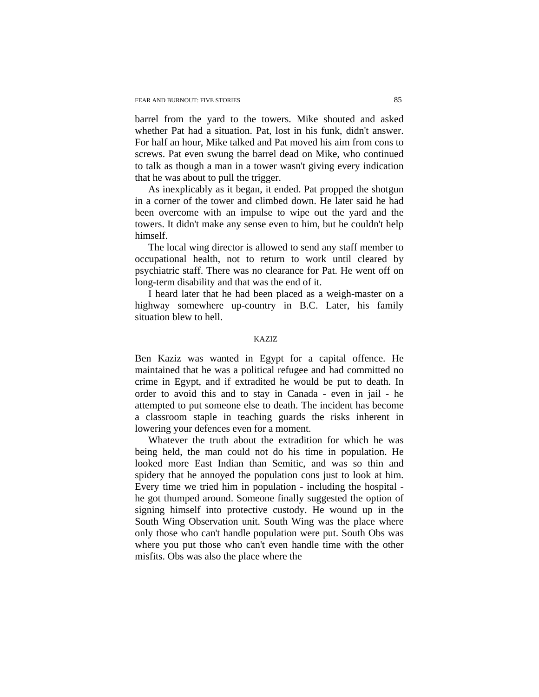barrel from the yard to the towers. Mike shouted and asked whether Pat had a situation. Pat, lost in his funk, didn't answer. For half an hour, Mike talked and Pat moved his aim from cons to screws. Pat even swung the barrel dead on Mike, who continued to talk as though a man in a tower wasn't giving every indication that he was about to pull the trigger.

As inexplicably as it began, it ended. Pat propped the shotgun in a corner of the tower and climbed down. He later said he had been overcome with an impulse to wipe out the yard and the towers. It didn't make any sense even to him, but he couldn't help himself.

The local wing director is allowed to send any staff member to occupational health, not to return to work until cleared by psychiatric staff. There was no clearance for Pat. He went off on long-term disability and that was the end of it.

I heard later that he had been placed as a weigh-master on a highway somewhere up-country in B.C. Later, his family situation blew to hell.

#### KAZIZ

Ben Kaziz was wanted in Egypt for a capital offence. He maintained that he was a political refugee and had committed no crime in Egypt, and if extradited he would be put to death. In order to avoid this and to stay in Canada - even in jail - he attempted to put someone else to death. The incident has become a classroom staple in teaching guards the risks inherent in lowering your defences even for a moment.

Whatever the truth about the extradition for which he was being held, the man could not do his time in population. He looked more East Indian than Semitic, and was so thin and spidery that he annoyed the population cons just to look at him. Every time we tried him in population - including the hospital he got thumped around. Someone finally suggested the option of signing himself into protective custody. He wound up in the South Wing Observation unit. South Wing was the place where only those who can't handle population were put. South Obs was where you put those who can't even handle time with the other misfits. Obs was also the place where the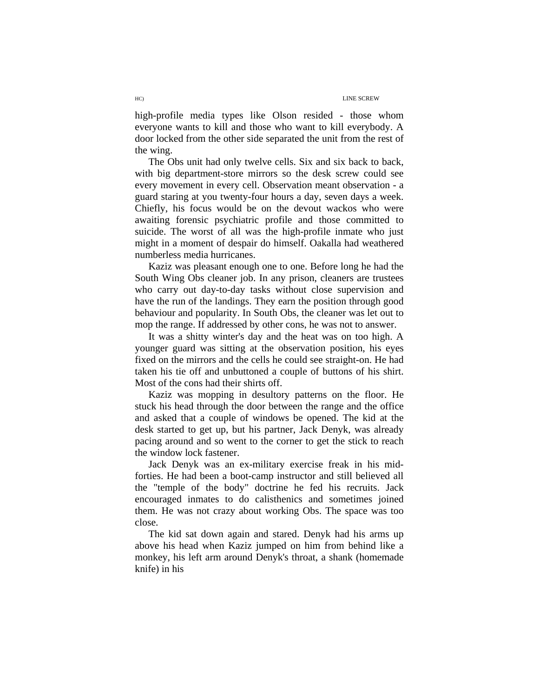high-profile media types like Olson resided - those whom everyone wants to kill and those who want to kill everybody. A door locked from the other side separated the unit from the rest of the wing.

The Obs unit had only twelve cells. Six and six back to back, with big department-store mirrors so the desk screw could see every movement in every cell. Observation meant observation - a guard staring at you twenty-four hours a day, seven days a week. Chiefly, his focus would be on the devout wackos who were awaiting forensic psychiatric profile and those committed to suicide. The worst of all was the high-profile inmate who just might in a moment of despair do himself. Oakalla had weathered numberless media hurricanes.

Kaziz was pleasant enough one to one. Before long he had the South Wing Obs cleaner job. In any prison, cleaners are trustees who carry out day-to-day tasks without close supervision and have the run of the landings. They earn the position through good behaviour and popularity. In South Obs, the cleaner was let out to mop the range. If addressed by other cons, he was not to answer.

It was a shitty winter's day and the heat was on too high. A younger guard was sitting at the observation position, his eyes fixed on the mirrors and the cells he could see straight-on. He had taken his tie off and unbuttoned a couple of buttons of his shirt. Most of the cons had their shirts off.

Kaziz was mopping in desultory patterns on the floor. He stuck his head through the door between the range and the office and asked that a couple of windows be opened. The kid at the desk started to get up, but his partner, Jack Denyk, was already pacing around and so went to the corner to get the stick to reach the window lock fastener.

Jack Denyk was an ex-military exercise freak in his midforties. He had been a boot-camp instructor and still believed all the "temple of the body" doctrine he fed his recruits. Jack encouraged inmates to do calisthenics and sometimes joined them. He was not crazy about working Obs. The space was too close.

The kid sat down again and stared. Denyk had his arms up above his head when Kaziz jumped on him from behind like a monkey, his left arm around Denyk's throat, a shank (homemade knife) in his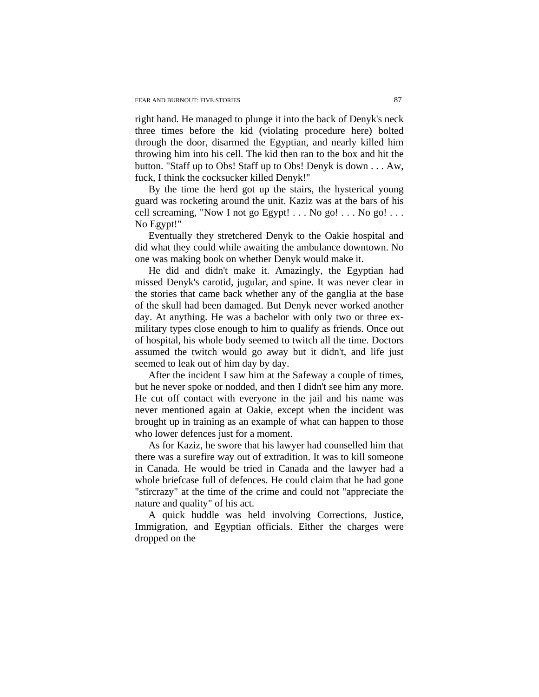right hand. He managed to plunge it into the back of Denyk's neck three times before the kid (violating procedure here) bolted through the door, disarmed the Egyptian, and nearly killed him throwing him into his cell. The kid then ran to the box and hit the button. "Staff up to Obs! Staff up to Obs! Denyk is down . . . Aw, fuck, I think the cocksucker killed Denyk!"

By the time the herd got up the stairs, the hysterical young guard was rocketing around the unit. Kaziz was at the bars of his cell screaming, "Now I not go Egypt! . . . No go! . . . No go! . . . No Egypt!"

Eventually they stretchered Denyk to the Oakie hospital and did what they could while awaiting the ambulance downtown. No one was making book on whether Denyk would make it.

He did and didn't make it. Amazingly, the Egyptian had missed Denyk's carotid, jugular, and spine. It was never clear in the stories that came back whether any of the ganglia at the base of the skull had been damaged. But Denyk never worked another day. At anything. He was a bachelor with only two or three exmilitary types close enough to him to qualify as friends. Once out of hospital, his whole body seemed to twitch all the time. Doctors assumed the twitch would go away but it didn't, and life just seemed to leak out of him day by day.

After the incident I saw him at the Safeway a couple of times, but he never spoke or nodded, and then I didn't see him any more. He cut off contact with everyone in the jail and his name was never mentioned again at Oakie, except when the incident was brought up in training as an example of what can happen to those who lower defences just for a moment.

As for Kaziz, he swore that his lawyer had counselled him that there was a surefire way out of extradition. It was to kill someone in Canada. He would be tried in Canada and the lawyer had a whole briefcase full of defences. He could claim that he had gone "stircrazy" at the time of the crime and could not "appreciate the nature and quality" of his act.

A quick huddle was held involving Corrections, Justice, Immigration, and Egyptian officials. Either the charges were dropped on the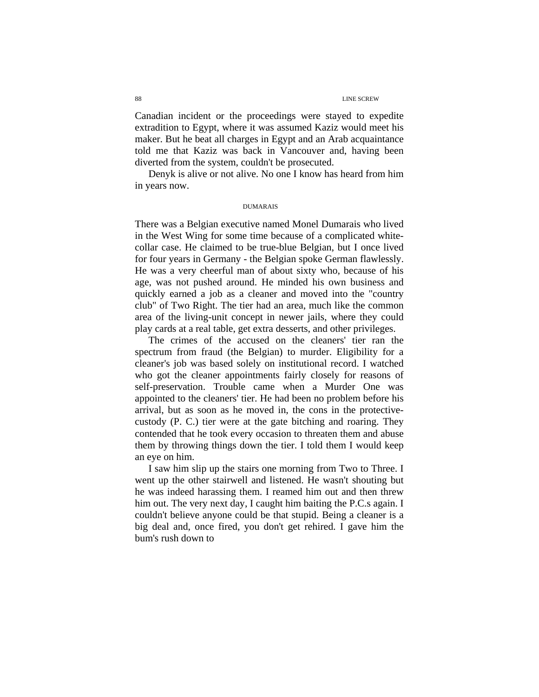Canadian incident or the proceedings were stayed to expedite extradition to Egypt, where it was assumed Kaziz would meet his maker. But he beat all charges in Egypt and an Arab acquaintance told me that Kaziz was back in Vancouver and, having been diverted from the system, couldn't be prosecuted.

Denyk is alive or not alive. No one I know has heard from him in years now.

#### DUMARAIS

There was a Belgian executive named Monel Dumarais who lived in the West Wing for some time because of a complicated whitecollar case. He claimed to be true-blue Belgian, but I once lived for four years in Germany - the Belgian spoke German flawlessly. He was a very cheerful man of about sixty who, because of his age, was not pushed around. He minded his own business and quickly earned a job as a cleaner and moved into the "country club" of Two Right. The tier had an area, much like the common area of the living-unit concept in newer jails, where they could play cards at a real table, get extra desserts, and other privileges.

The crimes of the accused on the cleaners' tier ran the spectrum from fraud (the Belgian) to murder. Eligibility for a cleaner's job was based solely on institutional record. I watched who got the cleaner appointments fairly closely for reasons of self-preservation. Trouble came when a Murder One was appointed to the cleaners' tier. He had been no problem before his arrival, but as soon as he moved in, the cons in the protectivecustody (P. C.) tier were at the gate bitching and roaring. They contended that he took every occasion to threaten them and abuse them by throwing things down the tier. I told them I would keep an eye on him.

I saw him slip up the stairs one morning from Two to Three. I went up the other stairwell and listened. He wasn't shouting but he was indeed harassing them. I reamed him out and then threw him out. The very next day, I caught him baiting the P.C.s again. I couldn't believe anyone could be that stupid. Being a cleaner is a big deal and, once fired, you don't get rehired. I gave him the bum's rush down to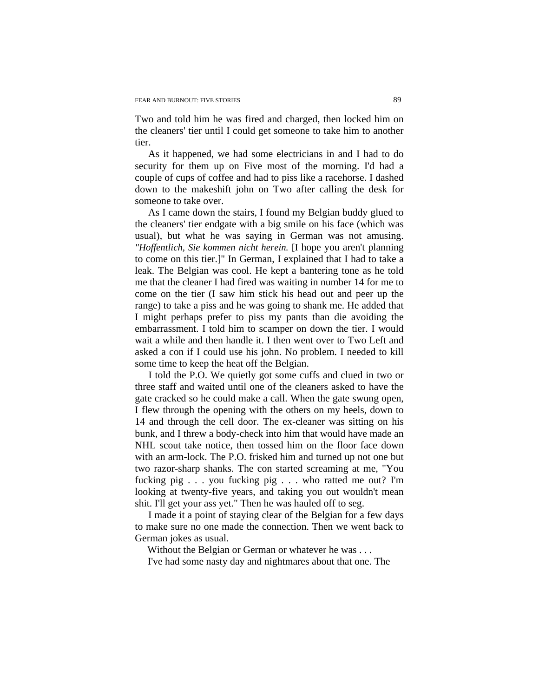Two and told him he was fired and charged, then locked him on the cleaners' tier until I could get someone to take him to another tier.

As it happened, we had some electricians in and I had to do security for them up on Five most of the morning. I'd had a couple of cups of coffee and had to piss like a racehorse. I dashed down to the makeshift john on Two after calling the desk for someone to take over.

As I came down the stairs, I found my Belgian buddy glued to the cleaners' tier endgate with a big smile on his face (which was usual), but what he was saying in German was not amusing. *"Hoffentlich, Sie kommen nicht herein.* [I hope you aren't planning to come on this tier.]" In German, I explained that I had to take a leak. The Belgian was cool. He kept a bantering tone as he told me that the cleaner I had fired was waiting in number 14 for me to come on the tier (I saw him stick his head out and peer up the range) to take a piss and he was going to shank me. He added that I might perhaps prefer to piss my pants than die avoiding the embarrassment. I told him to scamper on down the tier. I would wait a while and then handle it. I then went over to Two Left and asked a con if I could use his john. No problem. I needed to kill some time to keep the heat off the Belgian.

 I told the P.O. We quietly got some cuffs and clued in two or three staff and waited until one of the cleaners asked to have the gate cracked so he could make a call. When the gate swung open, I flew through the opening with the others on my heels, down to 14 and through the cell door. The ex-cleaner was sitting on his bunk, and I threw a body-check into him that would have made an NHL scout take notice, then tossed him on the floor face down with an arm-lock. The P.O. frisked him and turned up not one but two razor-sharp shanks. The con started screaming at me, "You fucking pig . . . you fucking pig . . . who ratted me out? I'm looking at twenty-five years, and taking you out wouldn't mean shit. I'll get your ass yet." Then he was hauled off to seg.

I made it a point of staying clear of the Belgian for a few days to make sure no one made the connection. Then we went back to German jokes as usual.

Without the Belgian or German or whatever he was . . .

I've had some nasty day and nightmares about that one. The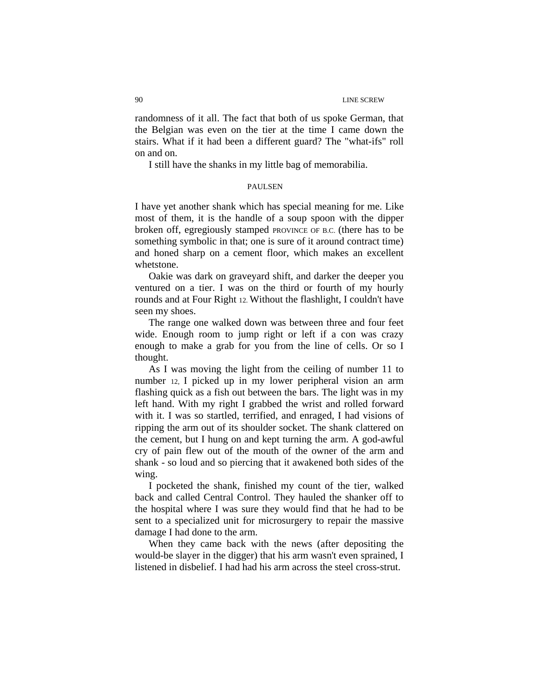randomness of it all. The fact that both of us spoke German, that the Belgian was even on the tier at the time I came down the stairs. What if it had been a different guard? The "what-ifs" roll on and on.

I still have the shanks in my little bag of memorabilia.

#### PAULSEN

I have yet another shank which has special meaning for me. Like most of them, it is the handle of a soup spoon with the dipper broken off, egregiously stamped PROVINCE OF B.C. (there has to be something symbolic in that; one is sure of it around contract time) and honed sharp on a cement floor, which makes an excellent whetstone.

Oakie was dark on graveyard shift, and darker the deeper you ventured on a tier. I was on the third or fourth of my hourly rounds and at Four Right 12. Without the flashlight, I couldn't have seen my shoes.

The range one walked down was between three and four feet wide. Enough room to jump right or left if a con was crazy enough to make a grab for you from the line of cells. Or so I thought.

As I was moving the light from the ceiling of number 11 to number 12, I picked up in my lower peripheral vision an arm flashing quick as a fish out between the bars. The light was in my left hand. With my right I grabbed the wrist and rolled forward with it. I was so startled, terrified, and enraged, I had visions of ripping the arm out of its shoulder socket. The shank clattered on the cement, but I hung on and kept turning the arm. A god-awful cry of pain flew out of the mouth of the owner of the arm and shank - so loud and so piercing that it awakened both sides of the wing.

I pocketed the shank, finished my count of the tier, walked back and called Central Control. They hauled the shanker off to the hospital where I was sure they would find that he had to be sent to a specialized unit for microsurgery to repair the massive damage I had done to the arm.

When they came back with the news (after depositing the would-be slayer in the digger) that his arm wasn't even sprained, I listened in disbelief. I had had his arm across the steel cross-strut.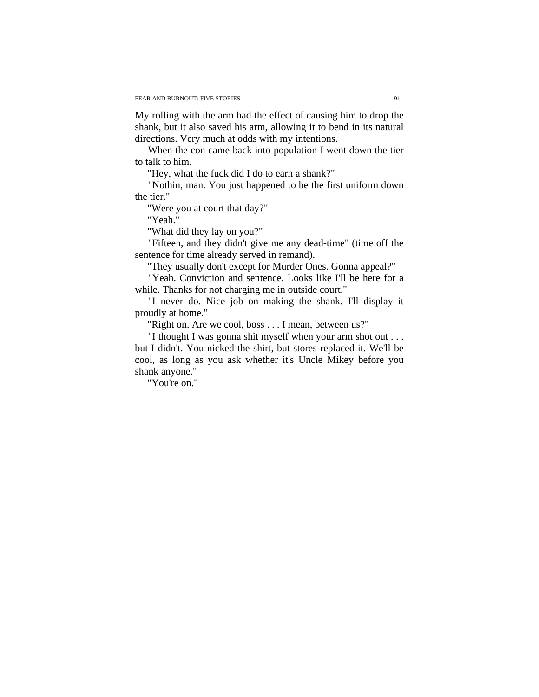My rolling with the arm had the effect of causing him to drop the shank, but it also saved his arm, allowing it to bend in its natural directions. Very much at odds with my intentions.

When the con came back into population I went down the tier to talk to him.

"Hey, what the fuck did I do to earn a shank?"

"Nothin, man. You just happened to be the first uniform down the tier."

"Were you at court that day?"

"Yeah."

"What did they lay on you?"

"Fifteen, and they didn't give me any dead-time" (time off the sentence for time already served in remand).

"They usually don't except for Murder Ones. Gonna appeal?"

"Yeah. Conviction and sentence. Looks like I'll be here for a while. Thanks for not charging me in outside court."

"I never do. Nice job on making the shank. I'll display it proudly at home."

"Right on. Are we cool, boss . . . I mean, between us?"

"I thought I was gonna shit myself when your arm shot out . . . but I didn't. You nicked the shirt, but stores replaced it. We'll be cool, as long as you ask whether it's Uncle Mikey before you shank anyone."

"You're on."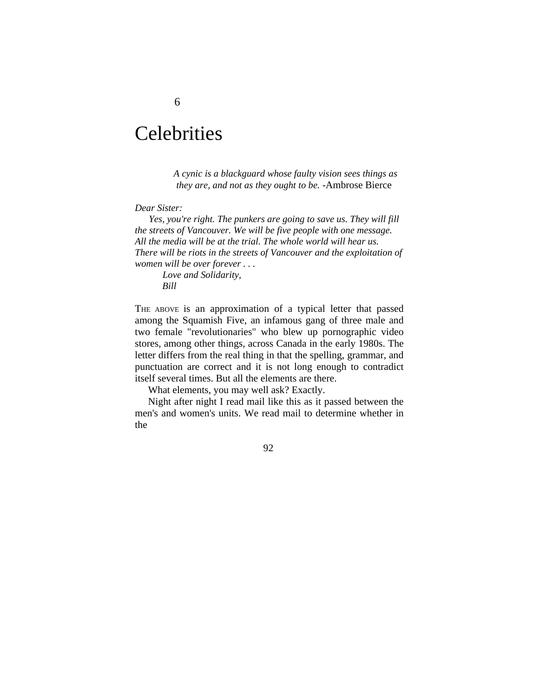# **Celebrities**

*A cynic is a blackguard whose faulty vision sees things as they are, and not as they ought to be.* -Ambrose Bierce

### *Dear Sister:*

*Yes, you're right. The punkers are going to save us. They will fill the streets of Vancouver. We will be five people with one message. All the media will be at the trial. The whole world will hear us. There will be riots in the streets of Vancouver and the exploitation of women will be over forever . . .* 

*Love and Solidarity, Bill* 

THE ABOVE is an approximation of a typical letter that passed among the Squamish Five, an infamous gang of three male and two female "revolutionaries" who blew up pornographic video stores, among other things, across Canada in the early 1980s. The letter differs from the real thing in that the spelling, grammar, and punctuation are correct and it is not long enough to contradict itself several times. But all the elements are there.

What elements, you may well ask? Exactly.

Night after night I read mail like this as it passed between the men's and women's units. We read mail to determine whether in the

92

## 6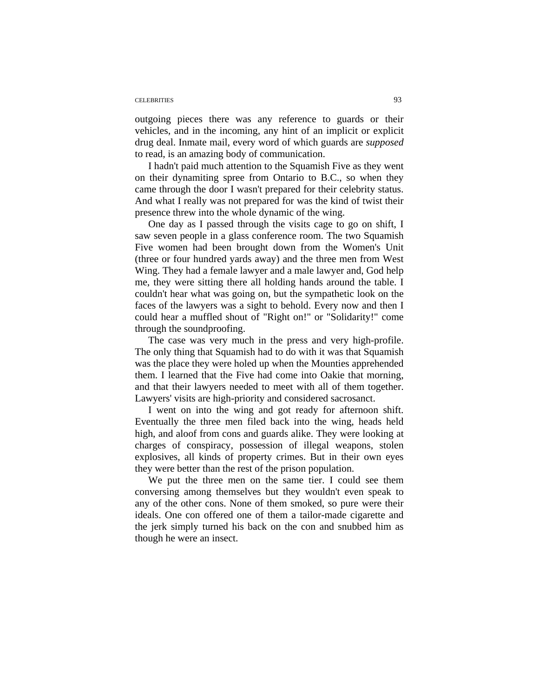#### CELEBRITIES 93

outgoing pieces there was any reference to guards or their vehicles, and in the incoming, any hint of an implicit or explicit drug deal. Inmate mail, every word of which guards are *supposed*  to read, is an amazing body of communication.

I hadn't paid much attention to the Squamish Five as they went on their dynamiting spree from Ontario to B.C., so when they came through the door I wasn't prepared for their celebrity status. And what I really was not prepared for was the kind of twist their presence threw into the whole dynamic of the wing.

One day as I passed through the visits cage to go on shift, I saw seven people in a glass conference room. The two Squamish Five women had been brought down from the Women's Unit (three or four hundred yards away) and the three men from West Wing. They had a female lawyer and a male lawyer and, God help me, they were sitting there all holding hands around the table. I couldn't hear what was going on, but the sympathetic look on the faces of the lawyers was a sight to behold. Every now and then I could hear a muffled shout of "Right on!" or "Solidarity!" come through the soundproofing.

The case was very much in the press and very high-profile. The only thing that Squamish had to do with it was that Squamish was the place they were holed up when the Mounties apprehended them. I learned that the Five had come into Oakie that morning, and that their lawyers needed to meet with all of them together. Lawyers' visits are high-priority and considered sacrosanct.

I went on into the wing and got ready for afternoon shift. Eventually the three men filed back into the wing, heads held high, and aloof from cons and guards alike. They were looking at charges of conspiracy, possession of illegal weapons, stolen explosives, all kinds of property crimes. But in their own eyes they were better than the rest of the prison population.

We put the three men on the same tier. I could see them conversing among themselves but they wouldn't even speak to any of the other cons. None of them smoked, so pure were their ideals. One con offered one of them a tailor-made cigarette and the jerk simply turned his back on the con and snubbed him as though he were an insect.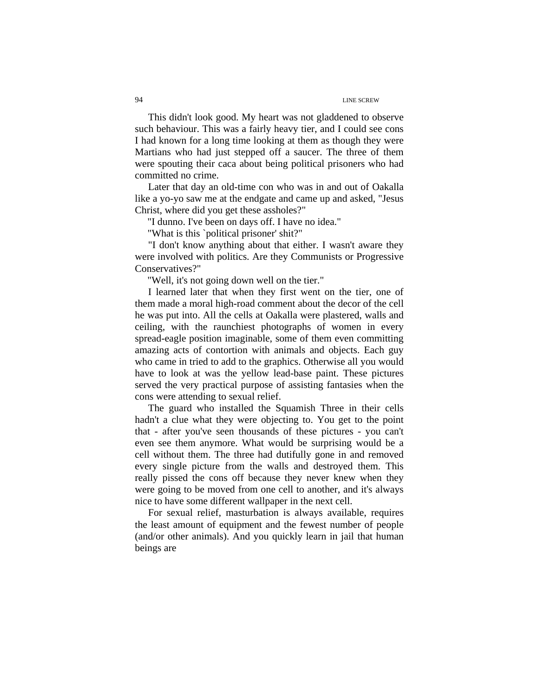This didn't look good. My heart was not gladdened to observe such behaviour. This was a fairly heavy tier, and I could see cons I had known for a long time looking at them as though they were Martians who had just stepped off a saucer. The three of them were spouting their caca about being political prisoners who had committed no crime.

Later that day an old-time con who was in and out of Oakalla like a yo-yo saw me at the endgate and came up and asked, "Jesus Christ, where did you get these assholes?"

"I dunno. I've been on days off. I have no idea."

"What is this `political prisoner' shit?"

"I don't know anything about that either. I wasn't aware they were involved with politics. Are they Communists or Progressive Conservatives?"

"Well, it's not going down well on the tier."

I learned later that when they first went on the tier, one of them made a moral high-road comment about the decor of the cell he was put into. All the cells at Oakalla were plastered, walls and ceiling, with the raunchiest photographs of women in every spread-eagle position imaginable, some of them even committing amazing acts of contortion with animals and objects. Each guy who came in tried to add to the graphics. Otherwise all you would have to look at was the yellow lead-base paint. These pictures served the very practical purpose of assisting fantasies when the cons were attending to sexual relief.

The guard who installed the Squamish Three in their cells hadn't a clue what they were objecting to. You get to the point that - after you've seen thousands of these pictures - you can't even see them anymore. What would be surprising would be a cell without them. The three had dutifully gone in and removed every single picture from the walls and destroyed them. This really pissed the cons off because they never knew when they were going to be moved from one cell to another, and it's always nice to have some different wallpaper in the next cell.

For sexual relief, masturbation is always available, requires the least amount of equipment and the fewest number of people (and/or other animals). And you quickly learn in jail that human beings are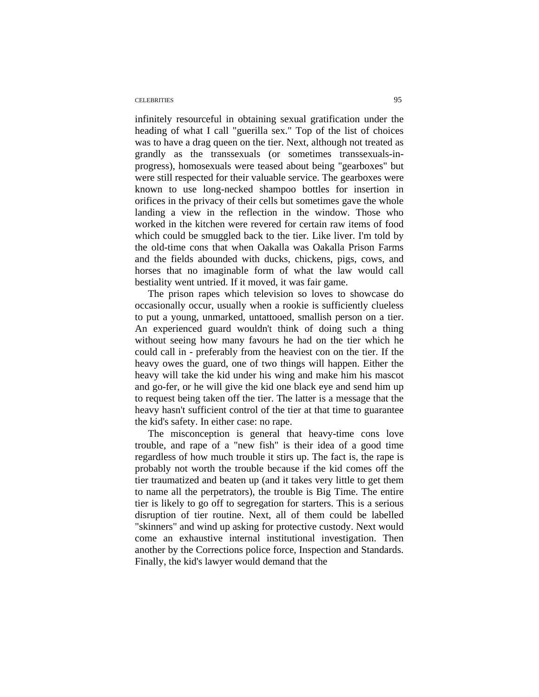#### CELEBRITIES 95

infinitely resourceful in obtaining sexual gratification under the heading of what I call "guerilla sex." Top of the list of choices was to have a drag queen on the tier. Next, although not treated as grandly as the transsexuals (or sometimes transsexuals-inprogress), homosexuals were teased about being "gearboxes" but were still respected for their valuable service. The gearboxes were known to use long-necked shampoo bottles for insertion in orifices in the privacy of their cells but sometimes gave the whole landing a view in the reflection in the window. Those who worked in the kitchen were revered for certain raw items of food which could be smuggled back to the tier. Like liver. I'm told by the old-time cons that when Oakalla was Oakalla Prison Farms and the fields abounded with ducks, chickens, pigs, cows, and horses that no imaginable form of what the law would call bestiality went untried. If it moved, it was fair game.

The prison rapes which television so loves to showcase do occasionally occur, usually when a rookie is sufficiently clueless to put a young, unmarked, untattooed, smallish person on a tier. An experienced guard wouldn't think of doing such a thing without seeing how many favours he had on the tier which he could call in - preferably from the heaviest con on the tier. If the heavy owes the guard, one of two things will happen. Either the heavy will take the kid under his wing and make him his mascot and go-fer, or he will give the kid one black eye and send him up to request being taken off the tier. The latter is a message that the heavy hasn't sufficient control of the tier at that time to guarantee the kid's safety. In either case: no rape.

The misconception is general that heavy-time cons love trouble, and rape of a "new fish" is their idea of a good time regardless of how much trouble it stirs up. The fact is, the rape is probably not worth the trouble because if the kid comes off the tier traumatized and beaten up (and it takes very little to get them to name all the perpetrators), the trouble is Big Time. The entire tier is likely to go off to segregation for starters. This is a serious disruption of tier routine. Next, all of them could be labelled "skinners" and wind up asking for protective custody. Next would come an exhaustive internal institutional investigation. Then another by the Corrections police force, Inspection and Standards. Finally, the kid's lawyer would demand that the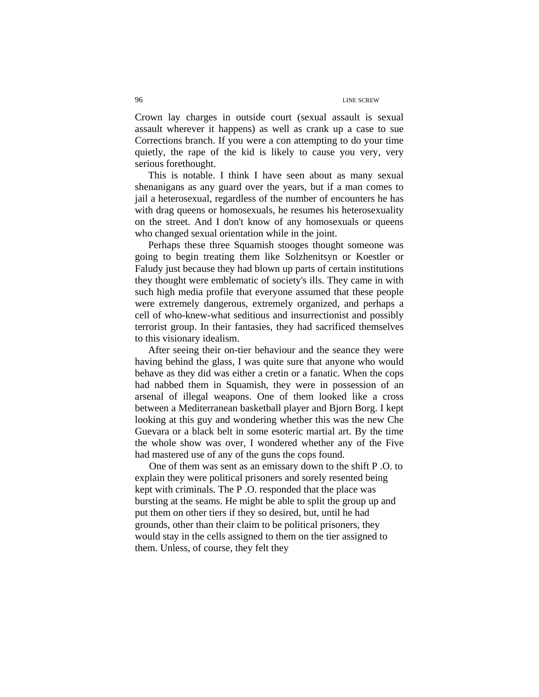Crown lay charges in outside court (sexual assault is sexual assault wherever it happens) as well as crank up a case to sue Corrections branch. If you were a con attempting to do your time quietly, the rape of the kid is likely to cause you very, very serious forethought.

This is notable. I think I have seen about as many sexual shenanigans as any guard over the years, but if a man comes to jail a heterosexual, regardless of the number of encounters he has with drag queens or homosexuals, he resumes his heterosexuality on the street. And I don't know of any homosexuals or queens who changed sexual orientation while in the joint.

Perhaps these three Squamish stooges thought someone was going to begin treating them like Solzhenitsyn or Koestler or Faludy just because they had blown up parts of certain institutions they thought were emblematic of society's ills. They came in with such high media profile that everyone assumed that these people were extremely dangerous, extremely organized, and perhaps a cell of who-knew-what seditious and insurrectionist and possibly terrorist group. In their fantasies, they had sacrificed themselves to this visionary idealism.

After seeing their on-tier behaviour and the seance they were having behind the glass, I was quite sure that anyone who would behave as they did was either a cretin or a fanatic. When the cops had nabbed them in Squamish, they were in possession of an arsenal of illegal weapons. One of them looked like a cross between a Mediterranean basketball player and Bjorn Borg. I kept looking at this guy and wondering whether this was the new Che Guevara or a black belt in some esoteric martial art. By the time the whole show was over, I wondered whether any of the Five had mastered use of any of the guns the cops found.

 One of them was sent as an emissary down to the shift P .O. to explain they were political prisoners and sorely resented being kept with criminals. The P .O. responded that the place was bursting at the seams. He might be able to split the group up and put them on other tiers if they so desired, but, until he had grounds, other than their claim to be political prisoners, they would stay in the cells assigned to them on the tier assigned to them. Unless, of course, they felt they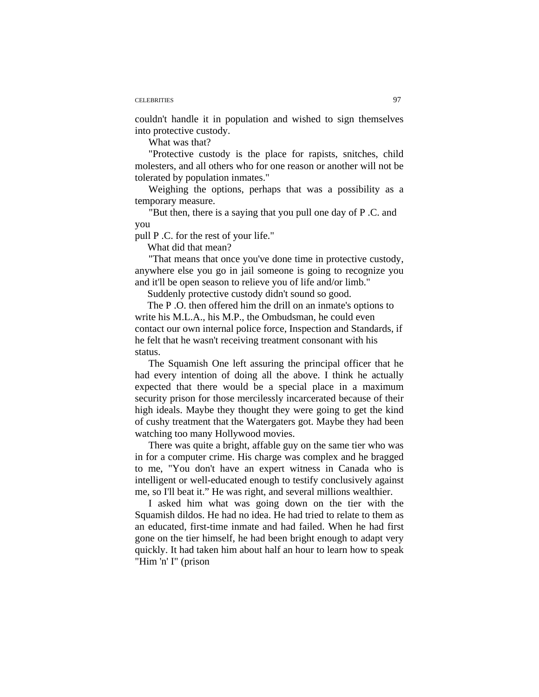#### CELEBRITIES 97

couldn't handle it in population and wished to sign themselves into protective custody.

What was that?

"Protective custody is the place for rapists, snitches, child molesters, and all others who for one reason or another will not be tolerated by population inmates."

Weighing the options, perhaps that was a possibility as a temporary measure.

 "But then, there is a saying that you pull one day of P .C. and you

pull P .C. for the rest of your life."

What did that mean?

"That means that once you've done time in protective custody, anywhere else you go in jail someone is going to recognize you and it'll be open season to relieve you of life and/or limb."

Suddenly protective custody didn't sound so good.

The P .O. then offered him the drill on an inmate's options to write his M.L.A., his M.P., the Ombudsman, he could even contact our own internal police force, Inspection and Standards, if he felt that he wasn't receiving treatment consonant with his status.

The Squamish One left assuring the principal officer that he had every intention of doing all the above. I think he actually expected that there would be a special place in a maximum security prison for those mercilessly incarcerated because of their high ideals. Maybe they thought they were going to get the kind of cushy treatment that the Watergaters got. Maybe they had been watching too many Hollywood movies.

There was quite a bright, affable guy on the same tier who was in for a computer crime. His charge was complex and he bragged to me, "You don't have an expert witness in Canada who is intelligent or well-educated enough to testify conclusively against me, so I'll beat it." He was right, and several millions wealthier.

I asked him what was going down on the tier with the Squamish dildos. He had no idea. He had tried to relate to them as an educated, first-time inmate and had failed. When he had first gone on the tier himself, he had been bright enough to adapt very quickly. It had taken him about half an hour to learn how to speak "Him 'n' I" (prison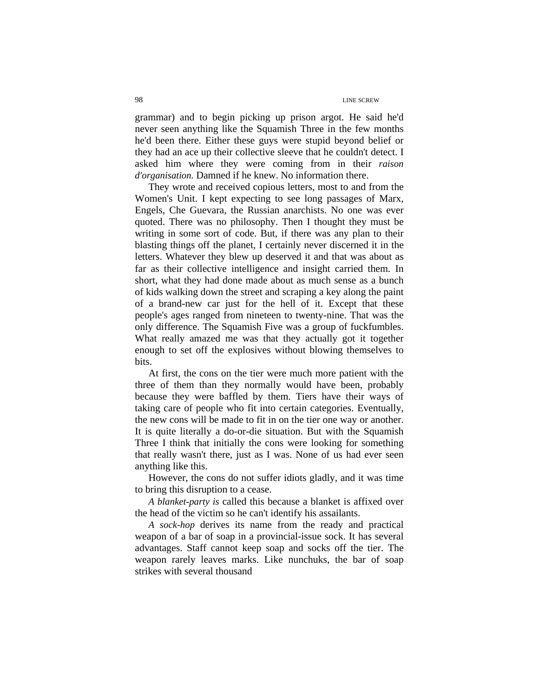grammar) and to begin picking up prison argot. He said he'd never seen anything like the Squamish Three in the few months he'd been there. Either these guys were stupid beyond belief or they had an ace up their collective sleeve that he couldn't detect. I asked him where they were coming from in their *raison d'organisation.* Damned if he knew. No information there.

They wrote and received copious letters, most to and from the Women's Unit. I kept expecting to see long passages of Marx, Engels, Che Guevara, the Russian anarchists. No one was ever quoted. There was no philosophy. Then I thought they must be writing in some sort of code. But, if there was any plan to their blasting things off the planet, I certainly never discerned it in the letters. Whatever they blew up deserved it and that was about as far as their collective intelligence and insight carried them. In short, what they had done made about as much sense as a bunch of kids walking down the street and scraping a key along the paint of a brand-new car just for the hell of it. Except that these people's ages ranged from nineteen to twenty-nine. That was the only difference. The Squamish Five was a group of fuckfumbles. What really amazed me was that they actually got it together enough to set off the explosives without blowing themselves to bits.

At first, the cons on the tier were much more patient with the three of them than they normally would have been, probably because they were baffled by them. Tiers have their ways of taking care of people who fit into certain categories. Eventually, the new cons will be made to fit in on the tier one way or another. It is quite literally a do-or-die situation. But with the Squamish Three I think that initially the cons were looking for something that really wasn't there, just as I was. None of us had ever seen anything like this.

However, the cons do not suffer idiots gladly, and it was time to bring this disruption to a cease.

*A blanket-party is* called this because a blanket is affixed over the head of the victim so he can't identify his assailants.

*A sock-hop* derives its name from the ready and practical weapon of a bar of soap in a provincial-issue sock. It has several advantages. Staff cannot keep soap and socks off the tier. The weapon rarely leaves marks. Like nunchuks, the bar of soap strikes with several thousand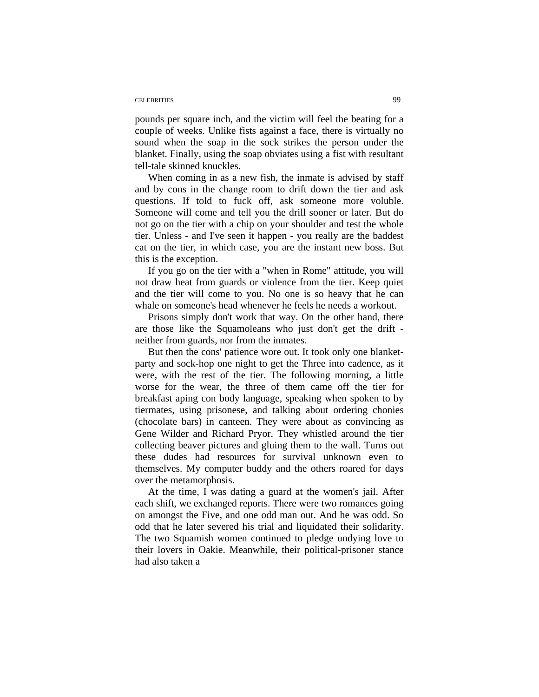#### CELEBRITIES 99

pounds per square inch, and the victim will feel the beating for a couple of weeks. Unlike fists against a face, there is virtually no sound when the soap in the sock strikes the person under the blanket. Finally, using the soap obviates using a fist with resultant tell-tale skinned knuckles.

When coming in as a new fish, the inmate is advised by staff and by cons in the change room to drift down the tier and ask questions. If told to fuck off, ask someone more voluble. Someone will come and tell you the drill sooner or later. But do not go on the tier with a chip on your shoulder and test the whole tier. Unless - and I've seen it happen - you really are the baddest cat on the tier, in which case, you are the instant new boss. But this is the exception.

If you go on the tier with a "when in Rome" attitude, you will not draw heat from guards or violence from the tier. Keep quiet and the tier will come to you. No one is so heavy that he can whale on someone's head whenever he feels he needs a workout.

Prisons simply don't work that way. On the other hand, there are those like the Squamoleans who just don't get the drift neither from guards, nor from the inmates.

But then the cons' patience wore out. It took only one blanketparty and sock-hop one night to get the Three into cadence, as it were, with the rest of the tier. The following morning, a little worse for the wear, the three of them came off the tier for breakfast aping con body language, speaking when spoken to by tiermates, using prisonese, and talking about ordering chonies (chocolate bars) in canteen. They were about as convincing as Gene Wilder and Richard Pryor. They whistled around the tier collecting beaver pictures and gluing them to the wall. Turns out these dudes had resources for survival unknown even to themselves. My computer buddy and the others roared for days over the metamorphosis.

At the time, I was dating a guard at the women's jail. After each shift, we exchanged reports. There were two romances going on amongst the Five, and one odd man out. And he was odd. So odd that he later severed his trial and liquidated their solidarity. The two Squamish women continued to pledge undying love to their lovers in Oakie. Meanwhile, their political-prisoner stance had also taken a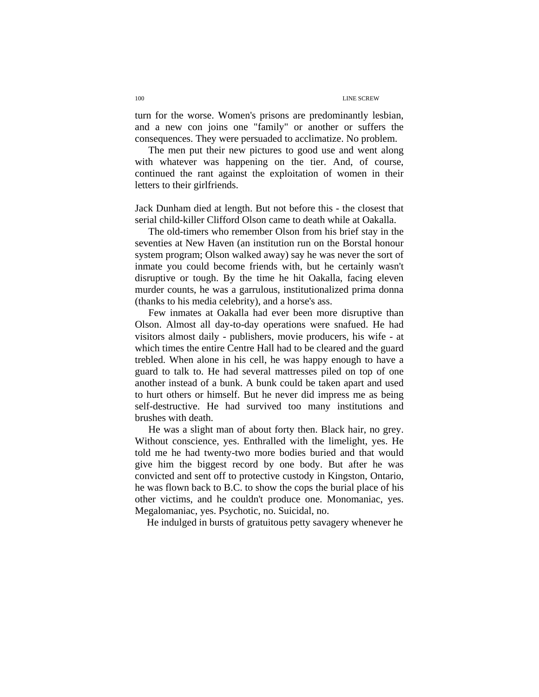turn for the worse. Women's prisons are predominantly lesbian, and a new con joins one "family" or another or suffers the consequences. They were persuaded to acclimatize. No problem.

The men put their new pictures to good use and went along with whatever was happening on the tier. And, of course, continued the rant against the exploitation of women in their letters to their girlfriends.

Jack Dunham died at length. But not before this - the closest that serial child-killer Clifford Olson came to death while at Oakalla.

The old-timers who remember Olson from his brief stay in the seventies at New Haven (an institution run on the Borstal honour system program; Olson walked away) say he was never the sort of inmate you could become friends with, but he certainly wasn't disruptive or tough. By the time he hit Oakalla, facing eleven murder counts, he was a garrulous, institutionalized prima donna (thanks to his media celebrity), and a horse's ass.

Few inmates at Oakalla had ever been more disruptive than Olson. Almost all day-to-day operations were snafued. He had visitors almost daily - publishers, movie producers, his wife - at which times the entire Centre Hall had to be cleared and the guard trebled. When alone in his cell, he was happy enough to have a guard to talk to. He had several mattresses piled on top of one another instead of a bunk. A bunk could be taken apart and used to hurt others or himself. But he never did impress me as being self-destructive. He had survived too many institutions and brushes with death.

He was a slight man of about forty then. Black hair, no grey. Without conscience, yes. Enthralled with the limelight, yes. He told me he had twenty-two more bodies buried and that would give him the biggest record by one body. But after he was convicted and sent off to protective custody in Kingston, Ontario, he was flown back to B.C. to show the cops the burial place of his other victims, and he couldn't produce one. Monomaniac, yes. Megalomaniac, yes. Psychotic, no. Suicidal, no.

He indulged in bursts of gratuitous petty savagery whenever he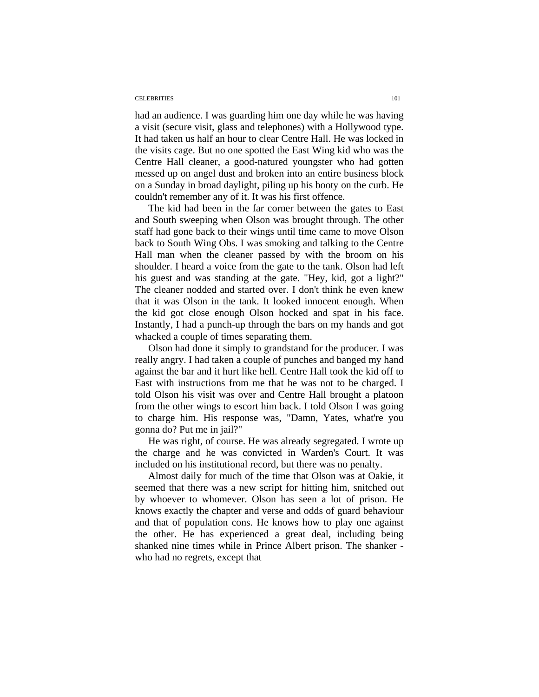#### CELEBRITIES 101

had an audience. I was guarding him one day while he was having a visit (secure visit, glass and telephones) with a Hollywood type. It had taken us half an hour to clear Centre Hall. He was locked in the visits cage. But no one spotted the East Wing kid who was the Centre Hall cleaner, a good-natured youngster who had gotten messed up on angel dust and broken into an entire business block on a Sunday in broad daylight, piling up his booty on the curb. He couldn't remember any of it. It was his first offence.

The kid had been in the far corner between the gates to East and South sweeping when Olson was brought through. The other staff had gone back to their wings until time came to move Olson back to South Wing Obs. I was smoking and talking to the Centre Hall man when the cleaner passed by with the broom on his shoulder. I heard a voice from the gate to the tank. Olson had left his guest and was standing at the gate. "Hey, kid, got a light?" The cleaner nodded and started over. I don't think he even knew that it was Olson in the tank. It looked innocent enough. When the kid got close enough Olson hocked and spat in his face. Instantly, I had a punch-up through the bars on my hands and got whacked a couple of times separating them.

Olson had done it simply to grandstand for the producer. I was really angry. I had taken a couple of punches and banged my hand against the bar and it hurt like hell. Centre Hall took the kid off to East with instructions from me that he was not to be charged. I told Olson his visit was over and Centre Hall brought a platoon from the other wings to escort him back. I told Olson I was going to charge him. His response was, "Damn, Yates, what're you gonna do? Put me in jail?"

He was right, of course. He was already segregated. I wrote up the charge and he was convicted in Warden's Court. It was included on his institutional record, but there was no penalty.

Almost daily for much of the time that Olson was at Oakie, it seemed that there was a new script for hitting him, snitched out by whoever to whomever. Olson has seen a lot of prison. He knows exactly the chapter and verse and odds of guard behaviour and that of population cons. He knows how to play one against the other. He has experienced a great deal, including being shanked nine times while in Prince Albert prison. The shanker who had no regrets, except that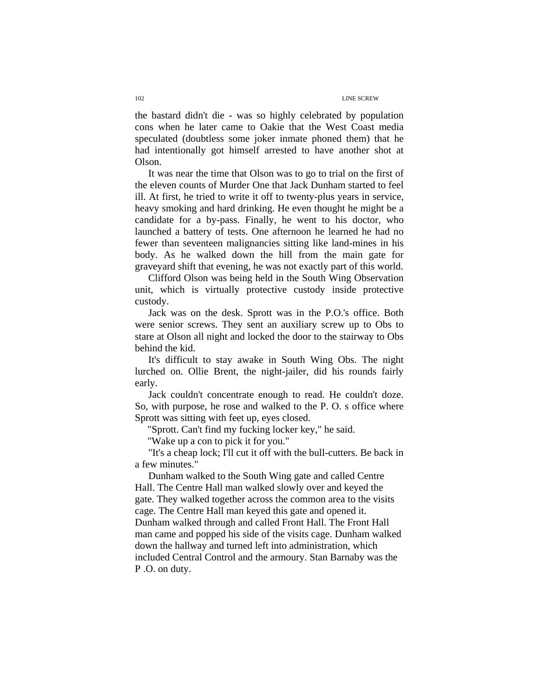the bastard didn't die - was so highly celebrated by population cons when he later came to Oakie that the West Coast media speculated (doubtless some joker inmate phoned them) that he had intentionally got himself arrested to have another shot at Olson.

It was near the time that Olson was to go to trial on the first of the eleven counts of Murder One that Jack Dunham started to feel ill. At first, he tried to write it off to twenty-plus years in service, heavy smoking and hard drinking. He even thought he might be a candidate for a by-pass. Finally, he went to his doctor, who launched a battery of tests. One afternoon he learned he had no fewer than seventeen malignancies sitting like land-mines in his body. As he walked down the hill from the main gate for graveyard shift that evening, he was not exactly part of this world.

Clifford Olson was being held in the South Wing Observation unit, which is virtually protective custody inside protective custody.

Jack was on the desk. Sprott was in the P.O.'s office. Both were senior screws. They sent an auxiliary screw up to Obs to stare at Olson all night and locked the door to the stairway to Obs behind the kid.

It's difficult to stay awake in South Wing Obs. The night lurched on. Ollie Brent, the night-jailer, did his rounds fairly early.

Jack couldn't concentrate enough to read. He couldn't doze. So, with purpose, he rose and walked to the P. O. s office where Sprott was sitting with feet up, eyes closed.

"Sprott. Can't find my fucking locker key," he said.

"Wake up a con to pick it for you."

"It's a cheap lock; I'll cut it off with the bull-cutters. Be back in a few minutes."

 Dunham walked to the South Wing gate and called Centre Hall. The Centre Hall man walked slowly over and keyed the gate. They walked together across the common area to the visits cage. The Centre Hall man keyed this gate and opened it. Dunham walked through and called Front Hall. The Front Hall man came and popped his side of the visits cage. Dunham walked down the hallway and turned left into administration, which included Central Control and the armoury. Stan Barnaby was the P .O. on duty.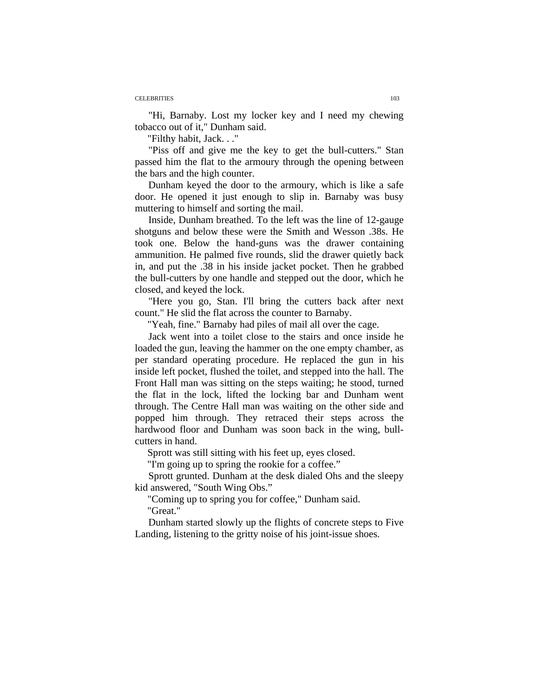#### CELEBRITIES 103

"Hi, Barnaby. Lost my locker key and I need my chewing tobacco out of it," Dunham said.

"Filthy habit, Jack. . ."

"Piss off and give me the key to get the bull-cutters." Stan passed him the flat to the armoury through the opening between the bars and the high counter.

Dunham keyed the door to the armoury, which is like a safe door. He opened it just enough to slip in. Barnaby was busy muttering to himself and sorting the mail.

Inside, Dunham breathed. To the left was the line of 12-gauge shotguns and below these were the Smith and Wesson .38s. He took one. Below the hand-guns was the drawer containing ammunition. He palmed five rounds, slid the drawer quietly back in, and put the .38 in his inside jacket pocket. Then he grabbed the bull-cutters by one handle and stepped out the door, which he closed, and keyed the lock.

"Here you go, Stan. I'll bring the cutters back after next count." He slid the flat across the counter to Barnaby.

"Yeah, fine." Barnaby had piles of mail all over the cage.

Jack went into a toilet close to the stairs and once inside he loaded the gun, leaving the hammer on the one empty chamber, as per standard operating procedure. He replaced the gun in his inside left pocket, flushed the toilet, and stepped into the hall. The Front Hall man was sitting on the steps waiting; he stood, turned the flat in the lock, lifted the locking bar and Dunham went through. The Centre Hall man was waiting on the other side and popped him through. They retraced their steps across the hardwood floor and Dunham was soon back in the wing, bullcutters in hand.

Sprott was still sitting with his feet up, eyes closed.

"I'm going up to spring the rookie for a coffee."

Sprott grunted. Dunham at the desk dialed Ohs and the sleepy kid answered, "South Wing Obs."

"Coming up to spring you for coffee," Dunham said. "Great."

Dunham started slowly up the flights of concrete steps to Five Landing, listening to the gritty noise of his joint-issue shoes.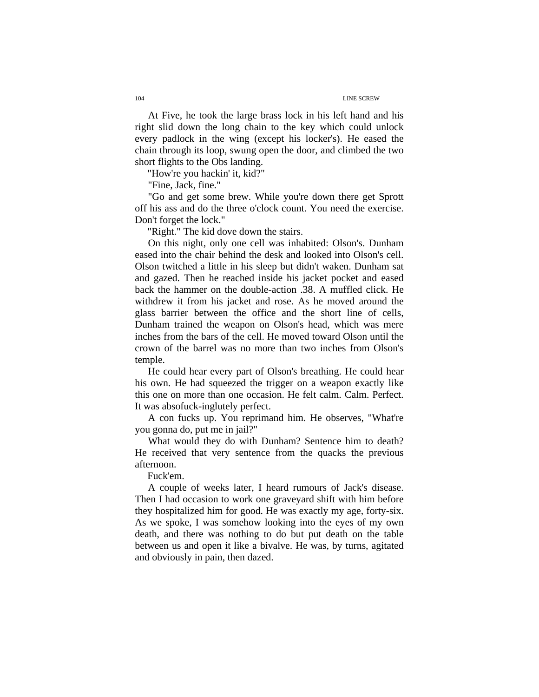At Five, he took the large brass lock in his left hand and his right slid down the long chain to the key which could unlock every padlock in the wing (except his locker's). He eased the chain through its loop, swung open the door, and climbed the two short flights to the Obs landing.

"How're you hackin' it, kid?"

"Fine, Jack, fine."

"Go and get some brew. While you're down there get Sprott off his ass and do the three o'clock count. You need the exercise. Don't forget the lock."

"Right." The kid dove down the stairs.

On this night, only one cell was inhabited: Olson's. Dunham eased into the chair behind the desk and looked into Olson's cell. Olson twitched a little in his sleep but didn't waken. Dunham sat and gazed. Then he reached inside his jacket pocket and eased back the hammer on the double-action .38. A muffled click. He withdrew it from his jacket and rose. As he moved around the glass barrier between the office and the short line of cells, Dunham trained the weapon on Olson's head, which was mere inches from the bars of the cell. He moved toward Olson until the crown of the barrel was no more than two inches from Olson's temple.

He could hear every part of Olson's breathing. He could hear his own. He had squeezed the trigger on a weapon exactly like this one on more than one occasion. He felt calm. Calm. Perfect. It was absofuck-inglutely perfect.

A con fucks up. You reprimand him. He observes, "What're you gonna do, put me in jail?"

What would they do with Dunham? Sentence him to death? He received that very sentence from the quacks the previous afternoon.

Fuck'em.

A couple of weeks later, I heard rumours of Jack's disease. Then I had occasion to work one graveyard shift with him before they hospitalized him for good. He was exactly my age, forty-six. As we spoke, I was somehow looking into the eyes of my own death, and there was nothing to do but put death on the table between us and open it like a bivalve. He was, by turns, agitated and obviously in pain, then dazed.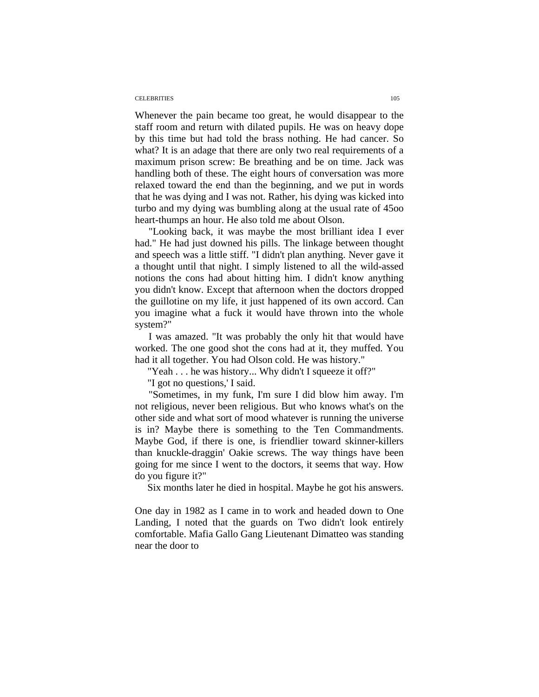#### CELEBRITIES 105

Whenever the pain became too great, he would disappear to the staff room and return with dilated pupils. He was on heavy dope by this time but had told the brass nothing. He had cancer. So what? It is an adage that there are only two real requirements of a maximum prison screw: Be breathing and be on time. Jack was handling both of these. The eight hours of conversation was more relaxed toward the end than the beginning, and we put in words that he was dying and I was not. Rather, his dying was kicked into turbo and my dying was bumbling along at the usual rate of 45oo heart-thumps an hour. He also told me about Olson.

"Looking back, it was maybe the most brilliant idea I ever had." He had just downed his pills. The linkage between thought and speech was a little stiff. "I didn't plan anything. Never gave it a thought until that night. I simply listened to all the wild-assed notions the cons had about hitting him. I didn't know anything you didn't know. Except that afternoon when the doctors dropped the guillotine on my life, it just happened of its own accord. Can you imagine what a fuck it would have thrown into the whole system?"

I was amazed. "It was probably the only hit that would have worked. The one good shot the cons had at it, they muffed. You had it all together. You had Olson cold. He was history."

"Yeah . . . he was history... Why didn't I squeeze it off?"

"I got no questions,' I said.

"Sometimes, in my funk, I'm sure I did blow him away. I'm not religious, never been religious. But who knows what's on the other side and what sort of mood whatever is running the universe is in? Maybe there is something to the Ten Commandments. Maybe God, if there is one, is friendlier toward skinner-killers than knuckle-draggin' Oakie screws. The way things have been going for me since I went to the doctors, it seems that way. How do you figure it?"

Six months later he died in hospital. Maybe he got his answers.

One day in 1982 as I came in to work and headed down to One Landing, I noted that the guards on Two didn't look entirely comfortable. Mafia Gallo Gang Lieutenant Dimatteo was standing near the door to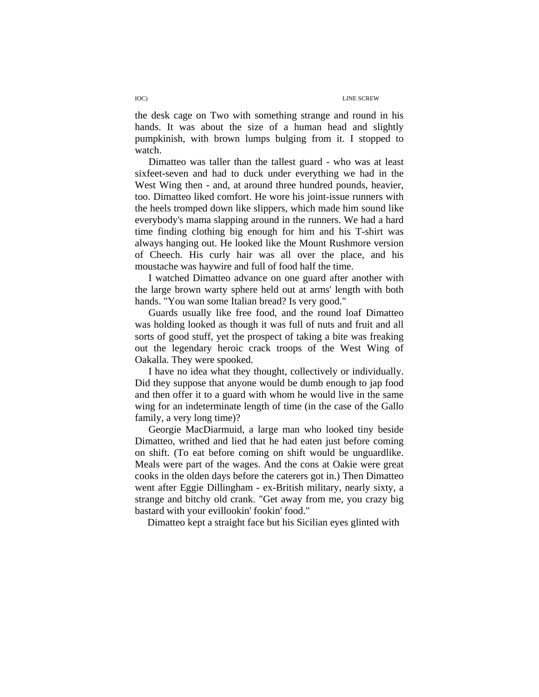the desk cage on Two with something strange and round in his hands. It was about the size of a human head and slightly pumpkinish, with brown lumps bulging from it. I stopped to watch.

Dimatteo was taller than the tallest guard - who was at least sixfeet-seven and had to duck under everything we had in the West Wing then - and, at around three hundred pounds, heavier, too. Dimatteo liked comfort. He wore his joint-issue runners with the heels tromped down like slippers, which made him sound like everybody's mama slapping around in the runners. We had a hard time finding clothing big enough for him and his T-shirt was always hanging out. He looked like the Mount Rushmore version of Cheech. His curly hair was all over the place, and his moustache was haywire and full of food half the time.

I watched Dimatteo advance on one guard after another with the large brown warty sphere held out at arms' length with both hands. "You wan some Italian bread? Is very good."

Guards usually like free food, and the round loaf Dimatteo was holding looked as though it was full of nuts and fruit and all sorts of good stuff, yet the prospect of taking a bite was freaking out the legendary heroic crack troops of the West Wing of Oakalla. They were spooked.

I have no idea what they thought, collectively or individually. Did they suppose that anyone would be dumb enough to jap food and then offer it to a guard with whom he would live in the same wing for an indeterminate length of time (in the case of the Gallo family, a very long time)?

Georgie MacDiarmuid, a large man who looked tiny beside Dimatteo, writhed and lied that he had eaten just before coming on shift. (To eat before coming on shift would be unguardlike. Meals were part of the wages. And the cons at Oakie were great cooks in the olden days before the caterers got in.) Then Dimatteo went after Eggie Dillingham - ex-British military, nearly sixty, a strange and bitchy old crank. "Get away from me, you crazy big bastard with your evillookin' fookin' food."

Dimatteo kept a straight face but his Sicilian eyes glinted with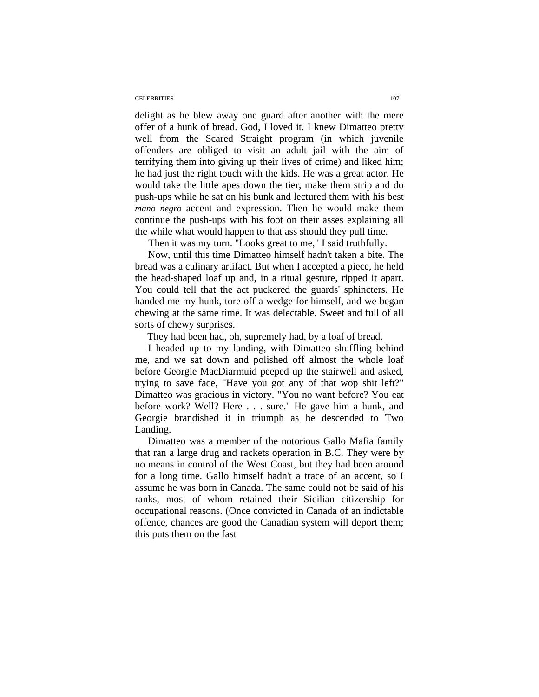#### CELEBRITIES 107

delight as he blew away one guard after another with the mere offer of a hunk of bread. God, I loved it. I knew Dimatteo pretty well from the Scared Straight program (in which juvenile offenders are obliged to visit an adult jail with the aim of terrifying them into giving up their lives of crime) and liked him; he had just the right touch with the kids. He was a great actor. He would take the little apes down the tier, make them strip and do push-ups while he sat on his bunk and lectured them with his best *mano negro* accent and expression. Then he would make them continue the push-ups with his foot on their asses explaining all the while what would happen to that ass should they pull time.

Then it was my turn. "Looks great to me," I said truthfully.

Now, until this time Dimatteo himself hadn't taken a bite. The bread was a culinary artifact. But when I accepted a piece, he held the head-shaped loaf up and, in a ritual gesture, ripped it apart. You could tell that the act puckered the guards' sphincters. He handed me my hunk, tore off a wedge for himself, and we began chewing at the same time. It was delectable. Sweet and full of all sorts of chewy surprises.

They had been had, oh, supremely had, by a loaf of bread.

I headed up to my landing, with Dimatteo shuffling behind me, and we sat down and polished off almost the whole loaf before Georgie MacDiarmuid peeped up the stairwell and asked, trying to save face, "Have you got any of that wop shit left?" Dimatteo was gracious in victory. "You no want before? You eat before work? Well? Here . . . sure." He gave him a hunk, and Georgie brandished it in triumph as he descended to Two Landing.

Dimatteo was a member of the notorious Gallo Mafia family that ran a large drug and rackets operation in B.C. They were by no means in control of the West Coast, but they had been around for a long time. Gallo himself hadn't a trace of an accent, so I assume he was born in Canada. The same could not be said of his ranks, most of whom retained their Sicilian citizenship for occupational reasons. (Once convicted in Canada of an indictable offence, chances are good the Canadian system will deport them; this puts them on the fast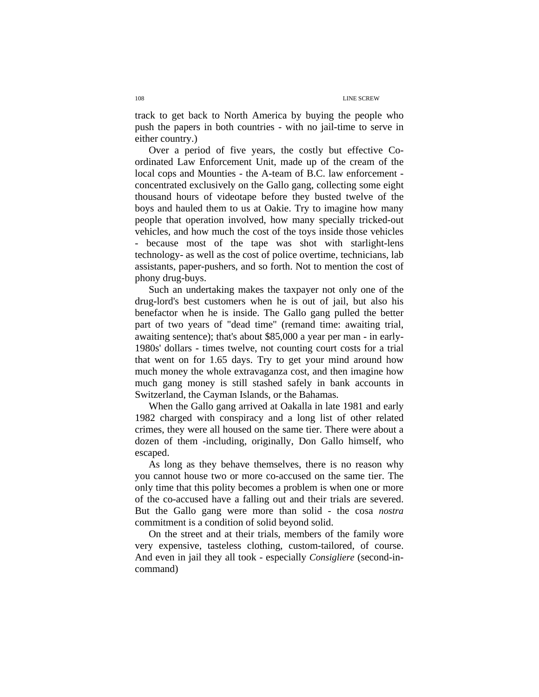track to get back to North America by buying the people who push the papers in both countries - with no jail-time to serve in either country.)

Over a period of five years, the costly but effective Coordinated Law Enforcement Unit, made up of the cream of the local cops and Mounties - the A-team of B.C. law enforcement concentrated exclusively on the Gallo gang, collecting some eight thousand hours of videotape before they busted twelve of the boys and hauled them to us at Oakie. Try to imagine how many people that operation involved, how many specially tricked-out vehicles, and how much the cost of the toys inside those vehicles - because most of the tape was shot with starlight-lens technology- as well as the cost of police overtime, technicians, lab assistants, paper-pushers, and so forth. Not to mention the cost of phony drug-buys.

Such an undertaking makes the taxpayer not only one of the drug-lord's best customers when he is out of jail, but also his benefactor when he is inside. The Gallo gang pulled the better part of two years of "dead time" (remand time: awaiting trial, awaiting sentence); that's about \$85,000 a year per man - in early-1980s' dollars - times twelve, not counting court costs for a trial that went on for 1.65 days. Try to get your mind around how much money the whole extravaganza cost, and then imagine how much gang money is still stashed safely in bank accounts in Switzerland, the Cayman Islands, or the Bahamas.

When the Gallo gang arrived at Oakalla in late 1981 and early 1982 charged with conspiracy and a long list of other related crimes, they were all housed on the same tier. There were about a dozen of them -including, originally, Don Gallo himself, who escaped.

As long as they behave themselves, there is no reason why you cannot house two or more co-accused on the same tier. The only time that this polity becomes a problem is when one or more of the co-accused have a falling out and their trials are severed. But the Gallo gang were more than solid - the cosa *nostra*  commitment is a condition of solid beyond solid.

On the street and at their trials, members of the family wore very expensive, tasteless clothing, custom-tailored, of course. And even in jail they all took - especially *Consigliere* (second-incommand)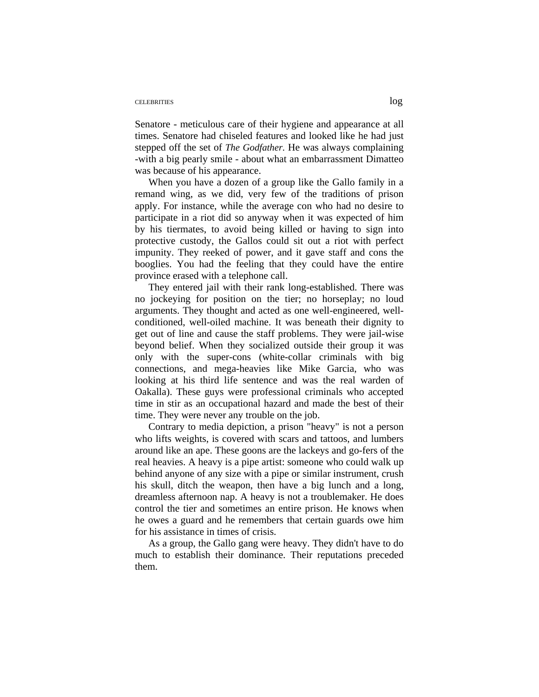### CELEBRITIES log

Senatore - meticulous care of their hygiene and appearance at all times. Senatore had chiseled features and looked like he had just stepped off the set of *The Godfather.* He was always complaining -with a big pearly smile - about what an embarrassment Dimatteo was because of his appearance.

When you have a dozen of a group like the Gallo family in a remand wing, as we did, very few of the traditions of prison apply. For instance, while the average con who had no desire to participate in a riot did so anyway when it was expected of him by his tiermates, to avoid being killed or having to sign into protective custody, the Gallos could sit out a riot with perfect impunity. They reeked of power, and it gave staff and cons the booglies. You had the feeling that they could have the entire province erased with a telephone call.

They entered jail with their rank long-established. There was no jockeying for position on the tier; no horseplay; no loud arguments. They thought and acted as one well-engineered, wellconditioned, well-oiled machine. It was beneath their dignity to get out of line and cause the staff problems. They were jail-wise beyond belief. When they socialized outside their group it was only with the super-cons (white-collar criminals with big connections, and mega-heavies like Mike Garcia, who was looking at his third life sentence and was the real warden of Oakalla). These guys were professional criminals who accepted time in stir as an occupational hazard and made the best of their time. They were never any trouble on the job.

Contrary to media depiction, a prison "heavy" is not a person who lifts weights, is covered with scars and tattoos, and lumbers around like an ape. These goons are the lackeys and go-fers of the real heavies. A heavy is a pipe artist: someone who could walk up behind anyone of any size with a pipe or similar instrument, crush his skull, ditch the weapon, then have a big lunch and a long, dreamless afternoon nap. A heavy is not a troublemaker. He does control the tier and sometimes an entire prison. He knows when he owes a guard and he remembers that certain guards owe him for his assistance in times of crisis.

As a group, the Gallo gang were heavy. They didn't have to do much to establish their dominance. Their reputations preceded them.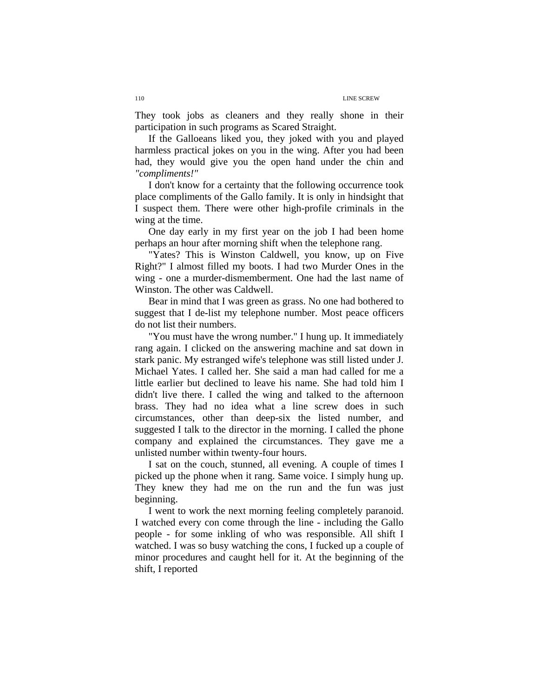They took jobs as cleaners and they really shone in their participation in such programs as Scared Straight.

If the Galloeans liked you, they joked with you and played harmless practical jokes on you in the wing. After you had been had, they would give you the open hand under the chin and *"compliments!"* 

I don't know for a certainty that the following occurrence took place compliments of the Gallo family. It is only in hindsight that I suspect them. There were other high-profile criminals in the wing at the time.

One day early in my first year on the job I had been home perhaps an hour after morning shift when the telephone rang.

"Yates? This is Winston Caldwell, you know, up on Five Right?" I almost filled my boots. I had two Murder Ones in the wing - one a murder-dismemberment. One had the last name of Winston. The other was Caldwell.

Bear in mind that I was green as grass. No one had bothered to suggest that I de-list my telephone number. Most peace officers do not list their numbers.

"You must have the wrong number." I hung up. It immediately rang again. I clicked on the answering machine and sat down in stark panic. My estranged wife's telephone was still listed under J. Michael Yates. I called her. She said a man had called for me a little earlier but declined to leave his name. She had told him I didn't live there. I called the wing and talked to the afternoon brass. They had no idea what a line screw does in such circumstances, other than deep-six the listed number, and suggested I talk to the director in the morning. I called the phone company and explained the circumstances. They gave me a unlisted number within twenty-four hours.

I sat on the couch, stunned, all evening. A couple of times I picked up the phone when it rang. Same voice. I simply hung up. They knew they had me on the run and the fun was just beginning.

I went to work the next morning feeling completely paranoid. I watched every con come through the line - including the Gallo people - for some inkling of who was responsible. All shift I watched. I was so busy watching the cons, I fucked up a couple of minor procedures and caught hell for it. At the beginning of the shift, I reported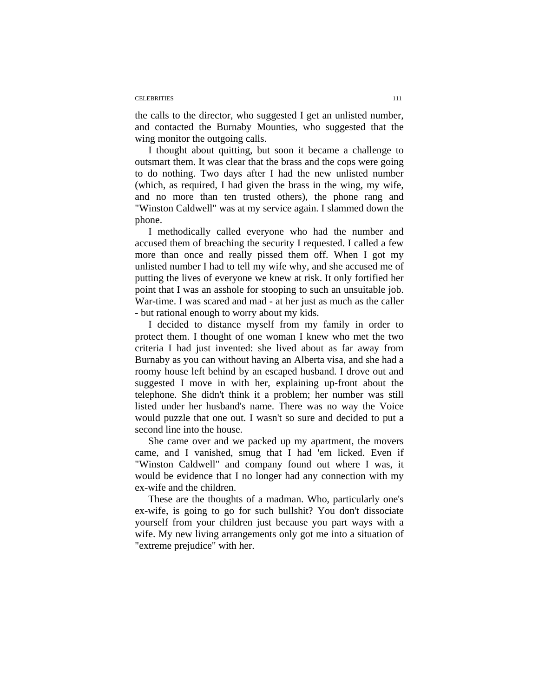#### CELEBRITIES 111

the calls to the director, who suggested I get an unlisted number, and contacted the Burnaby Mounties, who suggested that the wing monitor the outgoing calls.

I thought about quitting, but soon it became a challenge to outsmart them. It was clear that the brass and the cops were going to do nothing. Two days after I had the new unlisted number (which, as required, I had given the brass in the wing, my wife, and no more than ten trusted others), the phone rang and "Winston Caldwell" was at my service again. I slammed down the phone.

I methodically called everyone who had the number and accused them of breaching the security I requested. I called a few more than once and really pissed them off. When I got my unlisted number I had to tell my wife why, and she accused me of putting the lives of everyone we knew at risk. It only fortified her point that I was an asshole for stooping to such an unsuitable job. War-time. I was scared and mad - at her just as much as the caller - but rational enough to worry about my kids.

I decided to distance myself from my family in order to protect them. I thought of one woman I knew who met the two criteria I had just invented: she lived about as far away from Burnaby as you can without having an Alberta visa, and she had a roomy house left behind by an escaped husband. I drove out and suggested I move in with her, explaining up-front about the telephone. She didn't think it a problem; her number was still listed under her husband's name. There was no way the Voice would puzzle that one out. I wasn't so sure and decided to put a second line into the house.

She came over and we packed up my apartment, the movers came, and I vanished, smug that I had 'em licked. Even if "Winston Caldwell" and company found out where I was, it would be evidence that I no longer had any connection with my ex-wife and the children.

These are the thoughts of a madman. Who, particularly one's ex-wife, is going to go for such bullshit? You don't dissociate yourself from your children just because you part ways with a wife. My new living arrangements only got me into a situation of "extreme prejudice" with her.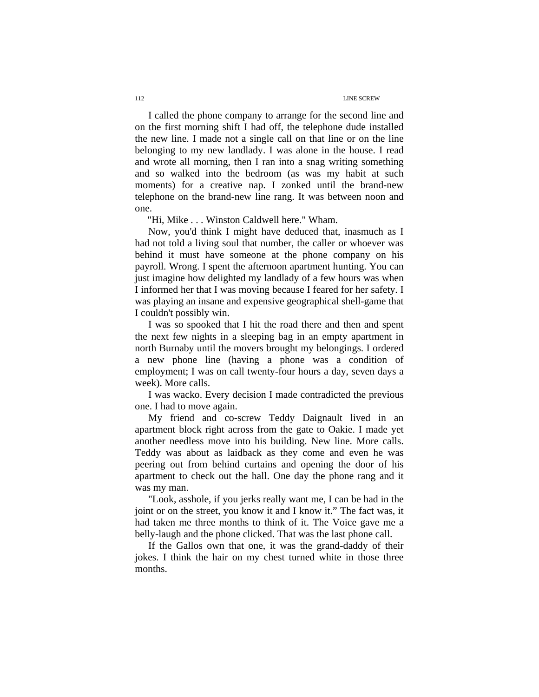I called the phone company to arrange for the second line and on the first morning shift I had off, the telephone dude installed the new line. I made not a single call on that line or on the line belonging to my new landlady. I was alone in the house. I read and wrote all morning, then I ran into a snag writing something and so walked into the bedroom (as was my habit at such moments) for a creative nap. I zonked until the brand-new telephone on the brand-new line rang. It was between noon and one.

"Hi, Mike . . . Winston Caldwell here." Wham.

Now, you'd think I might have deduced that, inasmuch as I had not told a living soul that number, the caller or whoever was behind it must have someone at the phone company on his payroll. Wrong. I spent the afternoon apartment hunting. You can just imagine how delighted my landlady of a few hours was when I informed her that I was moving because I feared for her safety. I was playing an insane and expensive geographical shell-game that I couldn't possibly win.

I was so spooked that I hit the road there and then and spent the next few nights in a sleeping bag in an empty apartment in north Burnaby until the movers brought my belongings. I ordered a new phone line (having a phone was a condition of employment; I was on call twenty-four hours a day, seven days a week). More calls.

I was wacko. Every decision I made contradicted the previous one. I had to move again.

My friend and co-screw Teddy Daignault lived in an apartment block right across from the gate to Oakie. I made yet another needless move into his building. New line. More calls. Teddy was about as laidback as they come and even he was peering out from behind curtains and opening the door of his apartment to check out the hall. One day the phone rang and it was my man.

"Look, asshole, if you jerks really want me, I can be had in the joint or on the street, you know it and I know it." The fact was, it had taken me three months to think of it. The Voice gave me a belly-laugh and the phone clicked. That was the last phone call.

If the Gallos own that one, it was the grand-daddy of their jokes. I think the hair on my chest turned white in those three months.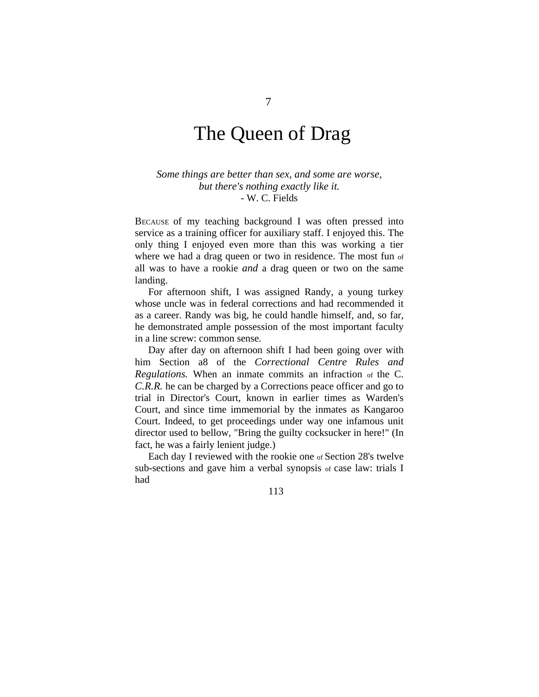# The Queen of Drag

*Some things are better than sex, and some are worse, but there's nothing exactly like it.*  - W. C. Fields

BECAUSE of my teaching background I was often pressed into service as a training officer for auxiliary staff. I enjoyed this. The only thing I enjoyed even more than this was working a tier where we had a drag queen or two in residence. The most fun of all was to have a rookie *and* a drag queen or two on the same landing.

For afternoon shift, I was assigned Randy, a young turkey whose uncle was in federal corrections and had recommended it as a career. Randy was big, he could handle himself, and, so far, he demonstrated ample possession of the most important faculty in a line screw: common sense.

Day after day on afternoon shift I had been going over with him Section a8 of the *Correctional Centre Rules and Regulations.* When an inmate commits an infraction of the C. *C.R.R.* he can be charged by a Corrections peace officer and go to trial in Director's Court, known in earlier times as Warden's Court, and since time immemorial by the inmates as Kangaroo Court. Indeed, to get proceedings under way one infamous unit director used to bellow, "Bring the guilty cocksucker in here!" (In fact, he was a fairly lenient judge.)

Each day I reviewed with the rookie one of Section 28's twelve sub-sections and gave him a verbal synopsis of case law: trials I had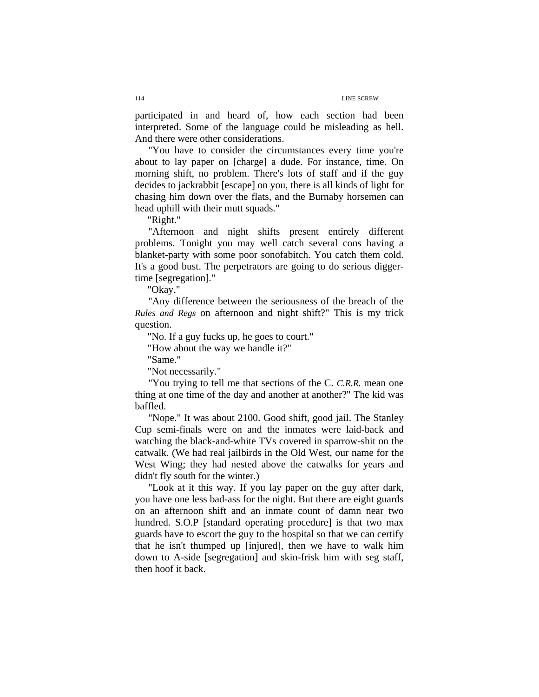participated in and heard of, how each section had been interpreted. Some of the language could be misleading as hell. And there were other considerations.

"You have to consider the circumstances every time you're about to lay paper on [charge] a dude. For instance, time. On morning shift, no problem. There's lots of staff and if the guy decides to jackrabbit [escape] on you, there is all kinds of light for chasing him down over the flats, and the Burnaby horsemen can head uphill with their mutt squads."

"Right."

"Afternoon and night shifts present entirely different problems. Tonight you may well catch several cons having a blanket-party with some poor sonofabitch. You catch them cold. It's a good bust. The perpetrators are going to do serious diggertime [segregation]."

"Okay."

"Any difference between the seriousness of the breach of the *Rules and Regs* on afternoon and night shift?" This is my trick question.

"No. If a guy fucks up, he goes to court."

"How about the way we handle it?"

"Same."

"Not necessarily."

"You trying to tell me that sections of the C. *C.R.R.* mean one thing at one time of the day and another at another?" The kid was baffled.

"Nope." It was about 2100. Good shift, good jail. The Stanley Cup semi-finals were on and the inmates were laid-back and watching the black-and-white TVs covered in sparrow-shit on the catwalk. (We had real jailbirds in the Old West, our name for the West Wing; they had nested above the catwalks for years and didn't fly south for the winter.)

"Look at it this way. If you lay paper on the guy after dark, you have one less bad-ass for the night. But there are eight guards on an afternoon shift and an inmate count of damn near two hundred. S.O.P [standard operating procedure] is that two max guards have to escort the guy to the hospital so that we can certify that he isn't thumped up [injured], then we have to walk him down to A-side [segregation] and skin-frisk him with seg staff, then hoof it back.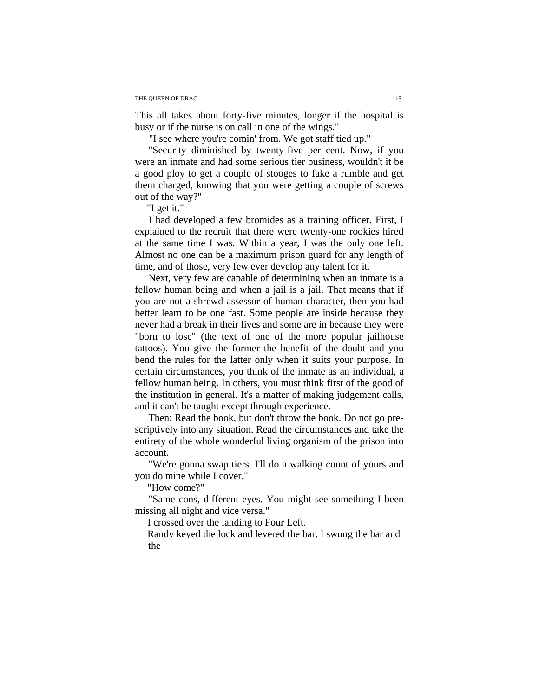This all takes about forty-five minutes, longer if the hospital is busy or if the nurse is on call in one of the wings."

"I see where you're comin' from. We got staff tied up."

"Security diminished by twenty-five per cent. Now, if you were an inmate and had some serious tier business, wouldn't it be a good ploy to get a couple of stooges to fake a rumble and get them charged, knowing that you were getting a couple of screws out of the way?"

"I get it."

I had developed a few bromides as a training officer. First, I explained to the recruit that there were twenty-one rookies hired at the same time I was. Within a year, I was the only one left. Almost no one can be a maximum prison guard for any length of time, and of those, very few ever develop any talent for it.

Next, very few are capable of determining when an inmate is a fellow human being and when a jail is a jail. That means that if you are not a shrewd assessor of human character, then you had better learn to be one fast. Some people are inside because they never had a break in their lives and some are in because they were "born to lose" (the text of one of the more popular jailhouse tattoos). You give the former the benefit of the doubt and you bend the rules for the latter only when it suits your purpose. In certain circumstances, you think of the inmate as an individual, a fellow human being. In others, you must think first of the good of the institution in general. It's a matter of making judgement calls, and it can't be taught except through experience.

Then: Read the book, but don't throw the book. Do not go prescriptively into any situation. Read the circumstances and take the entirety of the whole wonderful living organism of the prison into account.

"We're gonna swap tiers. I'll do a walking count of yours and you do mine while I cover."

"How come?"

"Same cons, different eyes. You might see something I been missing all night and vice versa."

I crossed over the landing to Four Left.

Randy keyed the lock and levered the bar. I swung the bar and the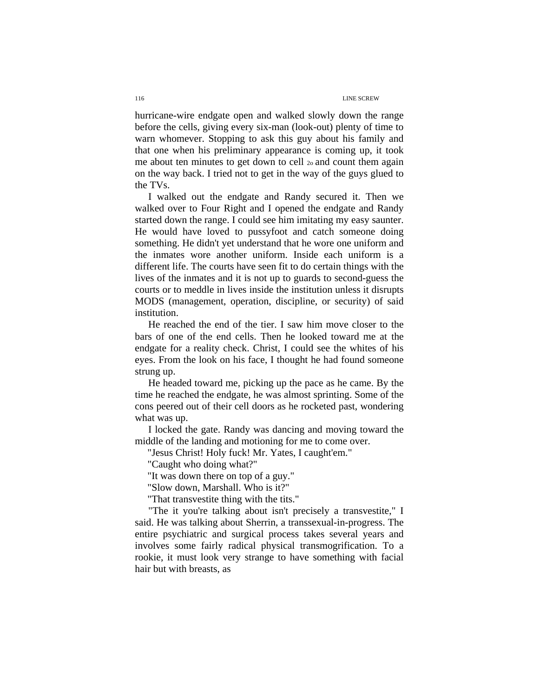hurricane-wire endgate open and walked slowly down the range before the cells, giving every six-man (look-out) plenty of time to warn whomever. Stopping to ask this guy about his family and that one when his preliminary appearance is coming up, it took me about ten minutes to get down to cell 2o and count them again on the way back. I tried not to get in the way of the guys glued to the TVs.

I walked out the endgate and Randy secured it. Then we walked over to Four Right and I opened the endgate and Randy started down the range. I could see him imitating my easy saunter. He would have loved to pussyfoot and catch someone doing something. He didn't yet understand that he wore one uniform and the inmates wore another uniform. Inside each uniform is a different life. The courts have seen fit to do certain things with the lives of the inmates and it is not up to guards to second-guess the courts or to meddle in lives inside the institution unless it disrupts MODS (management, operation, discipline, or security) of said institution.

He reached the end of the tier. I saw him move closer to the bars of one of the end cells. Then he looked toward me at the endgate for a reality check. Christ, I could see the whites of his eyes. From the look on his face, I thought he had found someone strung up.

He headed toward me, picking up the pace as he came. By the time he reached the endgate, he was almost sprinting. Some of the cons peered out of their cell doors as he rocketed past, wondering what was up.

I locked the gate. Randy was dancing and moving toward the middle of the landing and motioning for me to come over.

"Jesus Christ! Holy fuck! Mr. Yates, I caught'em."

"Caught who doing what?"

"It was down there on top of a guy."

"Slow down, Marshall. Who is it?"

"That transvestite thing with the tits."

"The it you're talking about isn't precisely a transvestite," I said. He was talking about Sherrin, a transsexual-in-progress. The entire psychiatric and surgical process takes several years and involves some fairly radical physical transmogrification. To a rookie, it must look very strange to have something with facial hair but with breasts, as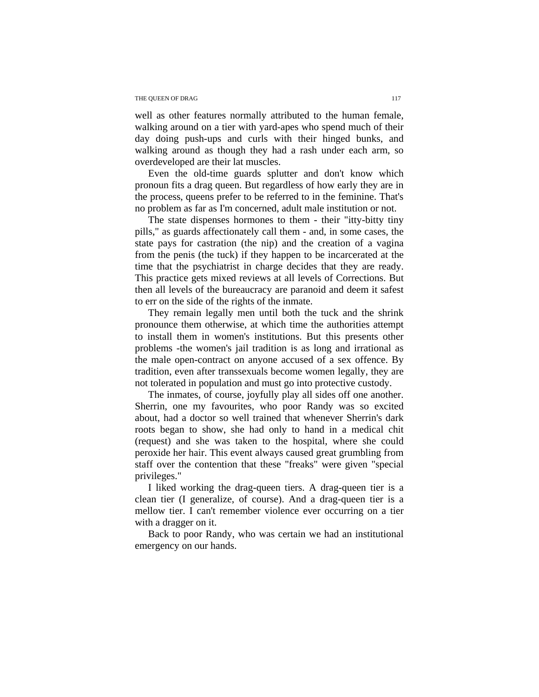well as other features normally attributed to the human female, walking around on a tier with yard-apes who spend much of their day doing push-ups and curls with their hinged bunks, and walking around as though they had a rash under each arm, so overdeveloped are their lat muscles.

Even the old-time guards splutter and don't know which pronoun fits a drag queen. But regardless of how early they are in the process, queens prefer to be referred to in the feminine. That's no problem as far as I'm concerned, adult male institution or not.

The state dispenses hormones to them - their "itty-bitty tiny pills," as guards affectionately call them - and, in some cases, the state pays for castration (the nip) and the creation of a vagina from the penis (the tuck) if they happen to be incarcerated at the time that the psychiatrist in charge decides that they are ready. This practice gets mixed reviews at all levels of Corrections. But then all levels of the bureaucracy are paranoid and deem it safest to err on the side of the rights of the inmate.

They remain legally men until both the tuck and the shrink pronounce them otherwise, at which time the authorities attempt to install them in women's institutions. But this presents other problems -the women's jail tradition is as long and irrational as the male open-contract on anyone accused of a sex offence. By tradition, even after transsexuals become women legally, they are not tolerated in population and must go into protective custody.

The inmates, of course, joyfully play all sides off one another. Sherrin, one my favourites, who poor Randy was so excited about, had a doctor so well trained that whenever Sherrin's dark roots began to show, she had only to hand in a medical chit (request) and she was taken to the hospital, where she could peroxide her hair. This event always caused great grumbling from staff over the contention that these "freaks" were given "special privileges."

I liked working the drag-queen tiers. A drag-queen tier is a clean tier (I generalize, of course). And a drag-queen tier is a mellow tier. I can't remember violence ever occurring on a tier with a dragger on it.

Back to poor Randy, who was certain we had an institutional emergency on our hands.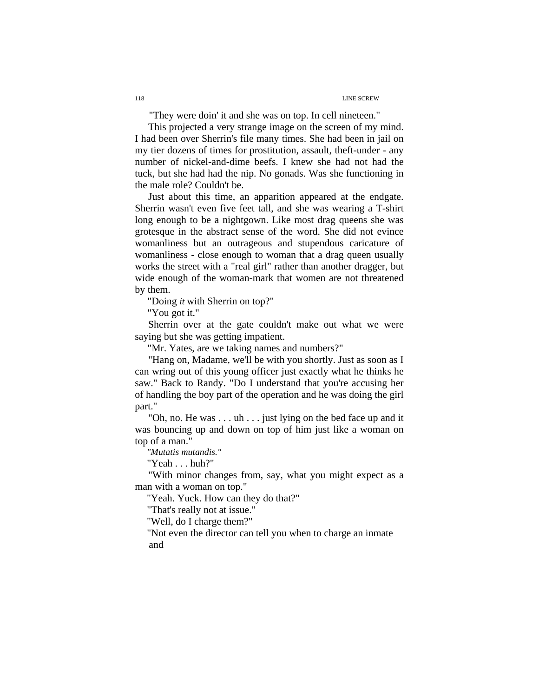"They were doin' it and she was on top. In cell nineteen."

This projected a very strange image on the screen of my mind. I had been over Sherrin's file many times. She had been in jail on my tier dozens of times for prostitution, assault, theft-under - any number of nickel-and-dime beefs. I knew she had not had the tuck, but she had had the nip. No gonads. Was she functioning in the male role? Couldn't be.

Just about this time, an apparition appeared at the endgate. Sherrin wasn't even five feet tall, and she was wearing a T-shirt long enough to be a nightgown. Like most drag queens she was grotesque in the abstract sense of the word. She did not evince womanliness but an outrageous and stupendous caricature of womanliness - close enough to woman that a drag queen usually works the street with a "real girl" rather than another dragger, but wide enough of the woman-mark that women are not threatened by them.

"Doing *it* with Sherrin on top?"

"You got it."

Sherrin over at the gate couldn't make out what we were saying but she was getting impatient.

"Mr. Yates, are we taking names and numbers?"

"Hang on, Madame, we'll be with you shortly. Just as soon as I can wring out of this young officer just exactly what he thinks he saw." Back to Randy. "Do I understand that you're accusing her of handling the boy part of the operation and he was doing the girl part."

"Oh, no. He was . . . uh . . . just lying on the bed face up and it was bouncing up and down on top of him just like a woman on top of a man."

*"Mutatis mutandis."* 

"Yeah . . . huh?"

"With minor changes from, say, what you might expect as a man with a woman on top."

"Yeah. Yuck. How can they do that?"

"That's really not at issue."

"Well, do I charge them?"

"Not even the director can tell you when to charge an inmate and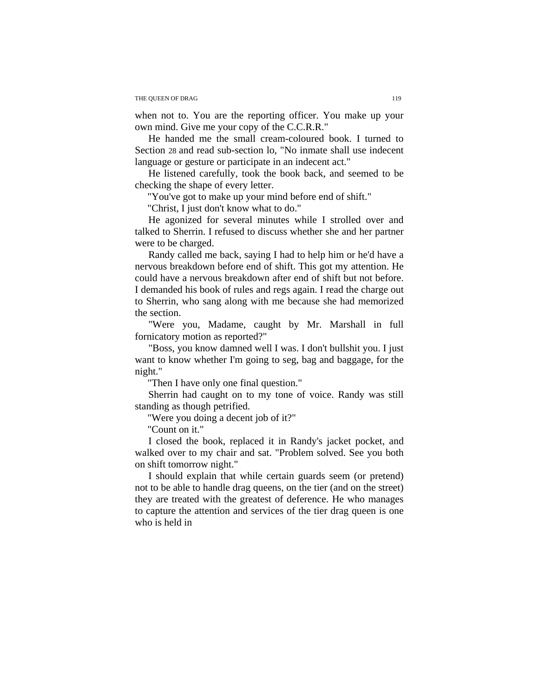when not to. You are the reporting officer. You make up your own mind. Give me your copy of the C.C.R.R."

He handed me the small cream-coloured book. I turned to Section 28 and read sub-section lo, "No inmate shall use indecent language or gesture or participate in an indecent act."

He listened carefully, took the book back, and seemed to be checking the shape of every letter.

"You've got to make up your mind before end of shift."

"Christ, I just don't know what to do."

He agonized for several minutes while I strolled over and talked to Sherrin. I refused to discuss whether she and her partner were to be charged.

Randy called me back, saying I had to help him or he'd have a nervous breakdown before end of shift. This got my attention. He could have a nervous breakdown after end of shift but not before. I demanded his book of rules and regs again. I read the charge out to Sherrin, who sang along with me because she had memorized the section.

"Were you, Madame, caught by Mr. Marshall in full fornicatory motion as reported?"

"Boss, you know damned well I was. I don't bullshit you. I just want to know whether I'm going to seg, bag and baggage, for the night."

"Then I have only one final question."

Sherrin had caught on to my tone of voice. Randy was still standing as though petrified.

"Were you doing a decent job of it?"

"Count on it."

I closed the book, replaced it in Randy's jacket pocket, and walked over to my chair and sat. "Problem solved. See you both on shift tomorrow night."

I should explain that while certain guards seem (or pretend) not to be able to handle drag queens, on the tier (and on the street) they are treated with the greatest of deference. He who manages to capture the attention and services of the tier drag queen is one who is held in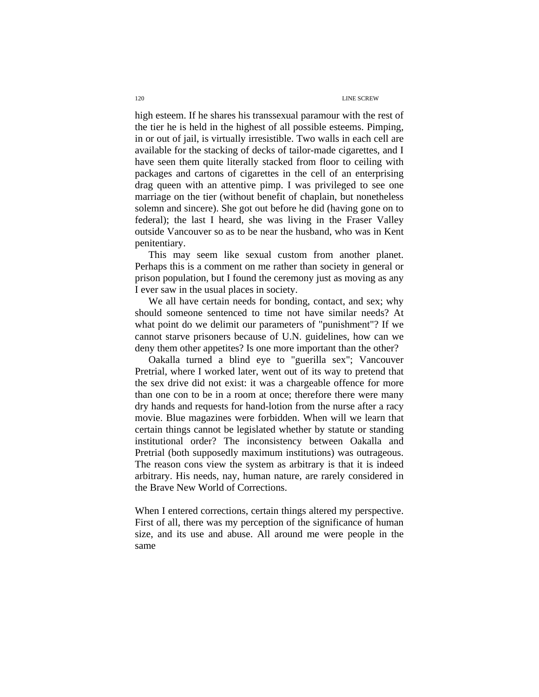high esteem. If he shares his transsexual paramour with the rest of the tier he is held in the highest of all possible esteems. Pimping, in or out of jail, is virtually irresistible. Two walls in each cell are available for the stacking of decks of tailor-made cigarettes, and I have seen them quite literally stacked from floor to ceiling with packages and cartons of cigarettes in the cell of an enterprising drag queen with an attentive pimp. I was privileged to see one marriage on the tier (without benefit of chaplain, but nonetheless solemn and sincere). She got out before he did (having gone on to federal); the last I heard, she was living in the Fraser Valley outside Vancouver so as to be near the husband, who was in Kent penitentiary.

This may seem like sexual custom from another planet. Perhaps this is a comment on me rather than society in general or prison population, but I found the ceremony just as moving as any I ever saw in the usual places in society.

We all have certain needs for bonding, contact, and sex; why should someone sentenced to time not have similar needs? At what point do we delimit our parameters of "punishment"? If we cannot starve prisoners because of U.N. guidelines, how can we deny them other appetites? Is one more important than the other?

Oakalla turned a blind eye to "guerilla sex"; Vancouver Pretrial, where I worked later, went out of its way to pretend that the sex drive did not exist: it was a chargeable offence for more than one con to be in a room at once; therefore there were many dry hands and requests for hand-lotion from the nurse after a racy movie. Blue magazines were forbidden. When will we learn that certain things cannot be legislated whether by statute or standing institutional order? The inconsistency between Oakalla and Pretrial (both supposedly maximum institutions) was outrageous. The reason cons view the system as arbitrary is that it is indeed arbitrary. His needs, nay, human nature, are rarely considered in the Brave New World of Corrections.

When I entered corrections, certain things altered my perspective. First of all, there was my perception of the significance of human size, and its use and abuse. All around me were people in the same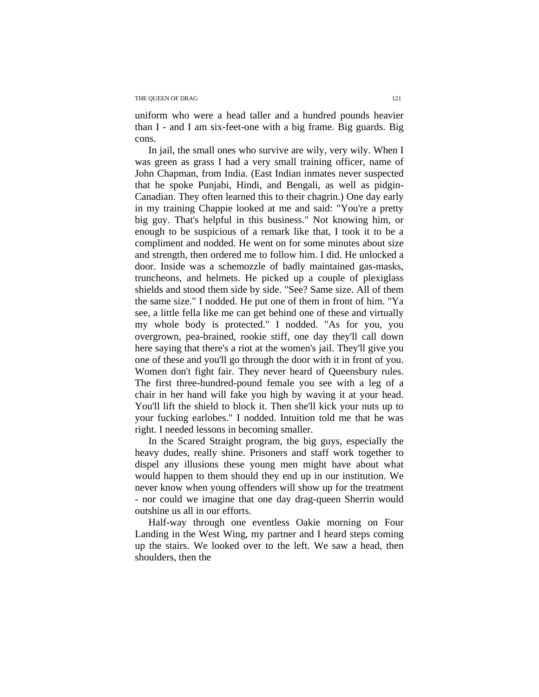uniform who were a head taller and a hundred pounds heavier than I - and I am six-feet-one with a big frame. Big guards. Big cons.

In jail, the small ones who survive are wily, very wily. When I was green as grass I had a very small training officer, name of John Chapman, from India. (East Indian inmates never suspected that he spoke Punjabi, Hindi, and Bengali, as well as pidgin-Canadian. They often learned this to their chagrin.) One day early in my training Chappie looked at me and said: "You're a pretty big guy. That's helpful in this business." Not knowing him, or enough to be suspicious of a remark like that, I took it to be a compliment and nodded. He went on for some minutes about size and strength, then ordered me to follow him. I did. He unlocked a door. Inside was a schemozzle of badly maintained gas-masks, truncheons, and helmets. He picked up a couple of plexiglass shields and stood them side by side. "See? Same size. All of them the same size." I nodded. He put one of them in front of him. "Ya see, a little fella like me can get behind one of these and virtually my whole body is protected." I nodded. "As for you, you overgrown, pea-brained, rookie stiff, one day they'll call down here saying that there's a riot at the women's jail. They'll give you one of these and you'll go through the door with it in front of you. Women don't fight fair. They never heard of Queensbury rules. The first three-hundred-pound female you see with a leg of a chair in her hand will fake you high by waving it at your head. You'll lift the shield to block it. Then she'll kick your nuts up to your fucking earlobes." I nodded. Intuition told me that he was right. I needed lessons in becoming smaller.

In the Scared Straight program, the big guys, especially the heavy dudes, really shine. Prisoners and staff work together to dispel any illusions these young men might have about what would happen to them should they end up in our institution. We never know when young offenders will show up for the treatment - nor could we imagine that one day drag-queen Sherrin would outshine us all in our efforts.

Half-way through one eventless Oakie morning on Four Landing in the West Wing, my partner and I heard steps coming up the stairs. We looked over to the left. We saw a head, then shoulders, then the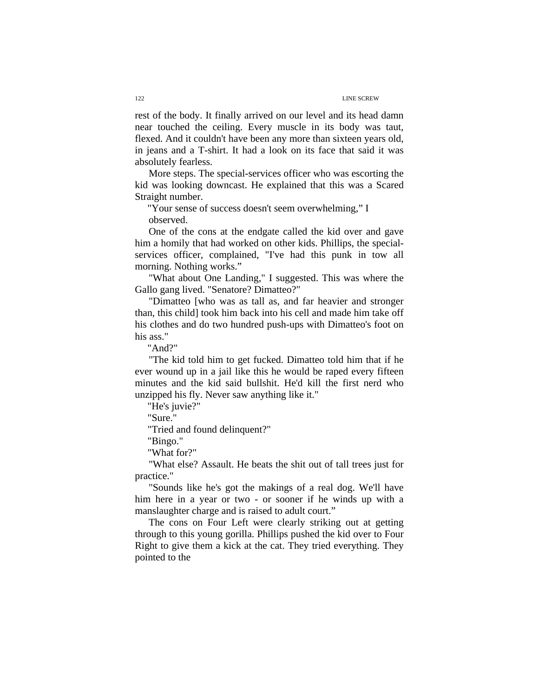rest of the body. It finally arrived on our level and its head damn near touched the ceiling. Every muscle in its body was taut, flexed. And it couldn't have been any more than sixteen years old, in jeans and a T-shirt. It had a look on its face that said it was absolutely fearless.

More steps. The special-services officer who was escorting the kid was looking downcast. He explained that this was a Scared Straight number.

"Your sense of success doesn't seem overwhelming," I observed.

One of the cons at the endgate called the kid over and gave him a homily that had worked on other kids. Phillips, the specialservices officer, complained, "I've had this punk in tow all morning. Nothing works."

"What about One Landing," I suggested. This was where the Gallo gang lived. "Senatore? Dimatteo?"

"Dimatteo [who was as tall as, and far heavier and stronger than, this child] took him back into his cell and made him take off his clothes and do two hundred push-ups with Dimatteo's foot on his ass."

"And?"

"The kid told him to get fucked. Dimatteo told him that if he ever wound up in a jail like this he would be raped every fifteen minutes and the kid said bullshit. He'd kill the first nerd who unzipped his fly. Never saw anything like it."

"He's juvie?"

"Sure."

"Tried and found delinquent?"

"Bingo."

"What for?"

"What else? Assault. He beats the shit out of tall trees just for practice."

"Sounds like he's got the makings of a real dog. We'll have him here in a year or two - or sooner if he winds up with a manslaughter charge and is raised to adult court."

The cons on Four Left were clearly striking out at getting through to this young gorilla. Phillips pushed the kid over to Four Right to give them a kick at the cat. They tried everything. They pointed to the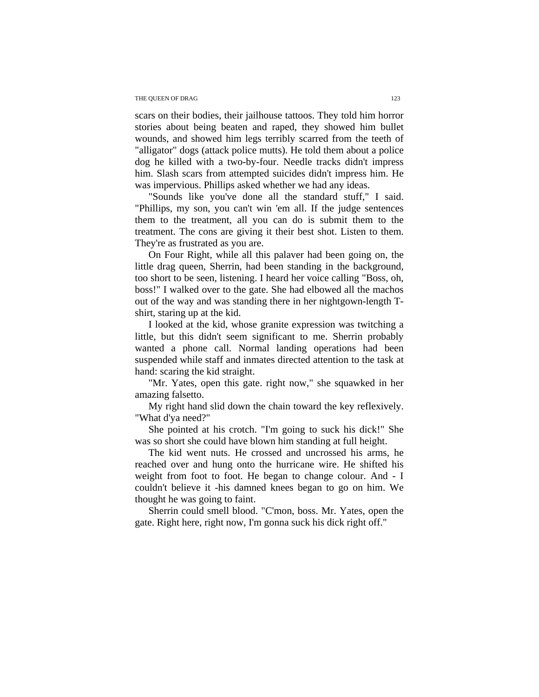scars on their bodies, their jailhouse tattoos. They told him horror stories about being beaten and raped, they showed him bullet wounds, and showed him legs terribly scarred from the teeth of "alligator" dogs (attack police mutts). He told them about a police dog he killed with a two-by-four. Needle tracks didn't impress him. Slash scars from attempted suicides didn't impress him. He was impervious. Phillips asked whether we had any ideas.

"Sounds like you've done all the standard stuff," I said. "Phillips, my son, you can't win 'em all. If the judge sentences them to the treatment, all you can do is submit them to the treatment. The cons are giving it their best shot. Listen to them. They're as frustrated as you are.

On Four Right, while all this palaver had been going on, the little drag queen, Sherrin, had been standing in the background, too short to be seen, listening. I heard her voice calling "Boss, oh, boss!" I walked over to the gate. She had elbowed all the machos out of the way and was standing there in her nightgown-length Tshirt, staring up at the kid.

I looked at the kid, whose granite expression was twitching a little, but this didn't seem significant to me. Sherrin probably wanted a phone call. Normal landing operations had been suspended while staff and inmates directed attention to the task at hand: scaring the kid straight.

"Mr. Yates, open this gate. right now," she squawked in her amazing falsetto.

My right hand slid down the chain toward the key reflexively. "What d'ya need?"

She pointed at his crotch. "I'm going to suck his dick!" She was so short she could have blown him standing at full height.

The kid went nuts. He crossed and uncrossed his arms, he reached over and hung onto the hurricane wire. He shifted his weight from foot to foot. He began to change colour. And - I couldn't believe it -his damned knees began to go on him. We thought he was going to faint.

Sherrin could smell blood. "C'mon, boss. Mr. Yates, open the gate. Right here, right now, I'm gonna suck his dick right off."